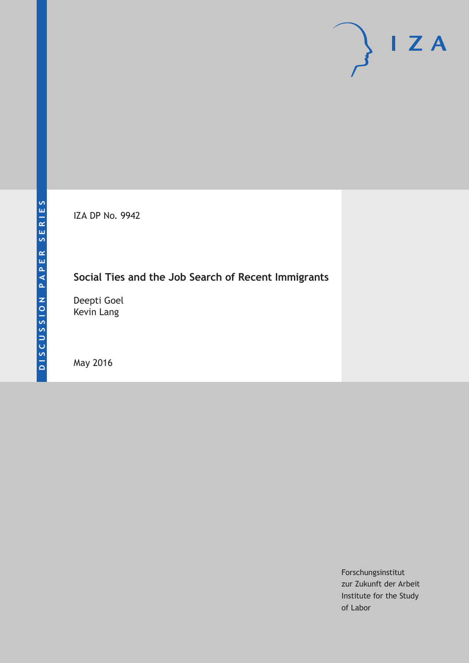IZA DP No. 9942

# **Social Ties and the Job Search of Recent Immigrants**

Deepti Goel Kevin Lang

May 2016

Forschungsinstitut zur Zukunft der Arbeit Institute for the Study of Labor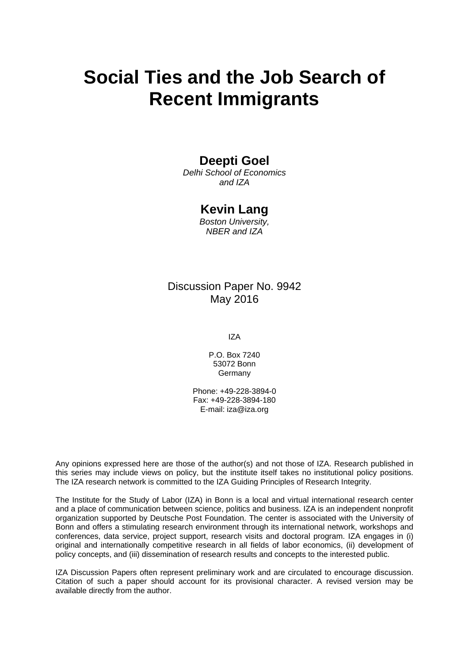# **Social Ties and the Job Search of Recent Immigrants**

# **Deepti Goel**

*Delhi School of Economics and IZA* 

### **Kevin Lang**

*Boston University, NBER and IZA* 

### Discussion Paper No. 9942 May 2016

IZA

P.O. Box 7240 53072 Bonn Germany

Phone: +49-228-3894-0 Fax: +49-228-3894-180 E-mail: iza@iza.org

Any opinions expressed here are those of the author(s) and not those of IZA. Research published in this series may include views on policy, but the institute itself takes no institutional policy positions. The IZA research network is committed to the IZA Guiding Principles of Research Integrity.

The Institute for the Study of Labor (IZA) in Bonn is a local and virtual international research center and a place of communication between science, politics and business. IZA is an independent nonprofit organization supported by Deutsche Post Foundation. The center is associated with the University of Bonn and offers a stimulating research environment through its international network, workshops and conferences, data service, project support, research visits and doctoral program. IZA engages in (i) original and internationally competitive research in all fields of labor economics, (ii) development of policy concepts, and (iii) dissemination of research results and concepts to the interested public.

IZA Discussion Papers often represent preliminary work and are circulated to encourage discussion. Citation of such a paper should account for its provisional character. A revised version may be available directly from the author.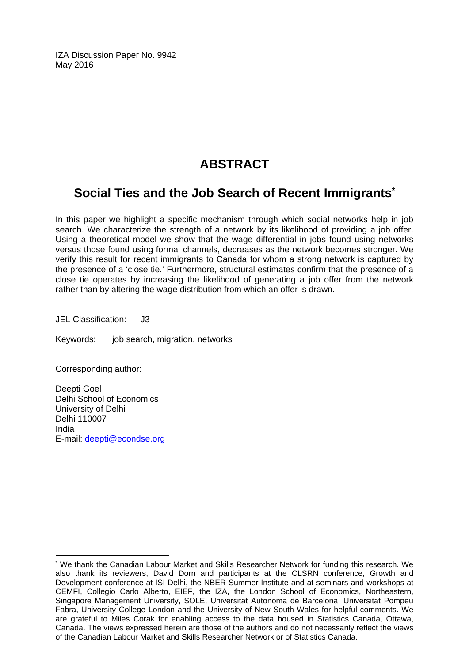IZA Discussion Paper No. 9942 May 2016

# **ABSTRACT**

# **Social Ties and the Job Search of Recent Immigrants\***

In this paper we highlight a specific mechanism through which social networks help in job search. We characterize the strength of a network by its likelihood of providing a job offer. Using a theoretical model we show that the wage differential in jobs found using networks versus those found using formal channels, decreases as the network becomes stronger. We verify this result for recent immigrants to Canada for whom a strong network is captured by the presence of a 'close tie.' Furthermore, structural estimates confirm that the presence of a close tie operates by increasing the likelihood of generating a job offer from the network rather than by altering the wage distribution from which an offer is drawn.

JEL Classification: J3

Keywords: job search, migration, networks

Corresponding author:

 $\overline{\phantom{a}}$ 

Deepti Goel Delhi School of Economics University of Delhi Delhi 110007 India E-mail: deepti@econdse.org

<sup>\*</sup> We thank the Canadian Labour Market and Skills Researcher Network for funding this research. We also thank its reviewers, David Dorn and participants at the CLSRN conference, Growth and Development conference at ISI Delhi, the NBER Summer Institute and at seminars and workshops at CEMFI, Collegio Carlo Alberto, EIEF, the IZA, the London School of Economics, Northeastern, Singapore Management University, SOLE, Universitat Autonoma de Barcelona, Universitat Pompeu Fabra, University College London and the University of New South Wales for helpful comments. We are grateful to Miles Corak for enabling access to the data housed in Statistics Canada, Ottawa, Canada. The views expressed herein are those of the authors and do not necessarily reflect the views of the Canadian Labour Market and Skills Researcher Network or of Statistics Canada.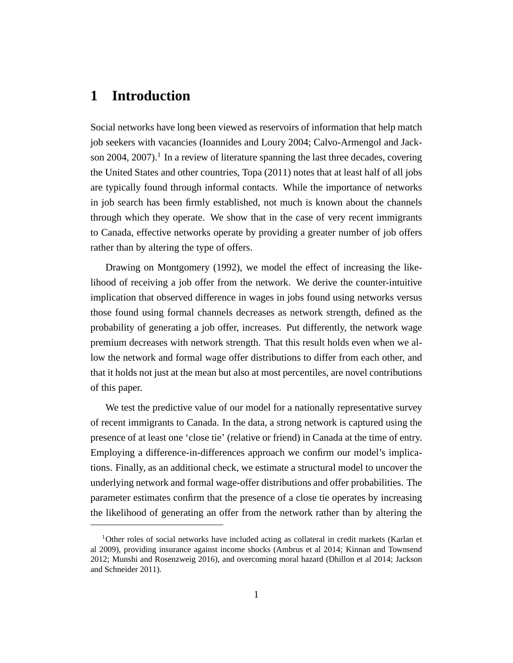# **1 Introduction**

Social networks have long been viewed as reservoirs of information that help match job seekers with vacancies (Ioannides and Loury 2004; Calvo-Armengol and Jackson 2004, 2007).<sup>1</sup> In a review of literature spanning the last three decades, covering the United States and other countries, Topa (2011) notes that at least half of all jobs are typically found through informal contacts. While the importance of networks in job search has been firmly established, not much is known about the channels through which they operate. We show that in the case of very recent immigrants to Canada, effective networks operate by providing a greater number of job offers rather than by altering the type of offers.

Drawing on Montgomery (1992), we model the effect of increasing the likelihood of receiving a job offer from the network. We derive the counter-intuitive implication that observed difference in wages in jobs found using networks versus those found using formal channels decreases as network strength, defined as the probability of generating a job offer, increases. Put differently, the network wage premium decreases with network strength. That this result holds even when we allow the network and formal wage offer distributions to differ from each other, and that it holds not just at the mean but also at most percentiles, are novel contributions of this paper.

We test the predictive value of our model for a nationally representative survey of recent immigrants to Canada. In the data, a strong network is captured using the presence of at least one 'close tie' (relative or friend) in Canada at the time of entry. Employing a difference-in-differences approach we confirm our model's implications. Finally, as an additional check, we estimate a structural model to uncover the underlying network and formal wage-offer distributions and offer probabilities. The parameter estimates confirm that the presence of a close tie operates by increasing the likelihood of generating an offer from the network rather than by altering the

<sup>&</sup>lt;sup>1</sup>Other roles of social networks have included acting as collateral in credit markets (Karlan et al 2009), providing insurance against income shocks (Ambrus et al 2014; Kinnan and Townsend 2012; Munshi and Rosenzweig 2016), and overcoming moral hazard (Dhillon et al 2014; Jackson and Schneider 2011).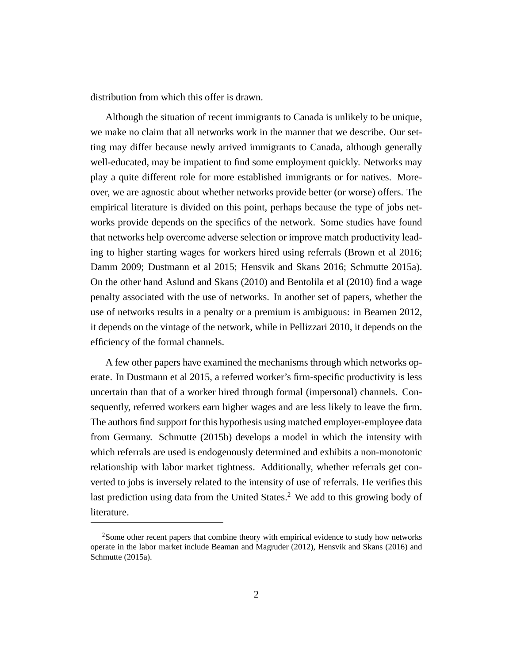distribution from which this offer is drawn.

Although the situation of recent immigrants to Canada is unlikely to be unique, we make no claim that all networks work in the manner that we describe. Our setting may differ because newly arrived immigrants to Canada, although generally well-educated, may be impatient to find some employment quickly. Networks may play a quite different role for more established immigrants or for natives. Moreover, we are agnostic about whether networks provide better (or worse) offers. The empirical literature is divided on this point, perhaps because the type of jobs networks provide depends on the specifics of the network. Some studies have found that networks help overcome adverse selection or improve match productivity leading to higher starting wages for workers hired using referrals (Brown et al 2016; Damm 2009; Dustmann et al 2015; Hensvik and Skans 2016; Schmutte 2015a). On the other hand Aslund and Skans (2010) and Bentolila et al (2010) find a wage penalty associated with the use of networks. In another set of papers, whether the use of networks results in a penalty or a premium is ambiguous: in Beamen 2012, it depends on the vintage of the network, while in Pellizzari 2010, it depends on the efficiency of the formal channels.

A few other papers have examined the mechanisms through which networks operate. In Dustmann et al 2015, a referred worker's firm-specific productivity is less uncertain than that of a worker hired through formal (impersonal) channels. Consequently, referred workers earn higher wages and are less likely to leave the firm. The authors find support for this hypothesis using matched employer-employee data from Germany. Schmutte (2015b) develops a model in which the intensity with which referrals are used is endogenously determined and exhibits a non-monotonic relationship with labor market tightness. Additionally, whether referrals get converted to jobs is inversely related to the intensity of use of referrals. He verifies this last prediction using data from the United States.<sup>2</sup> We add to this growing body of literature.

<sup>2</sup>Some other recent papers that combine theory with empirical evidence to study how networks operate in the labor market include Beaman and Magruder (2012), Hensvik and Skans (2016) and Schmutte (2015a).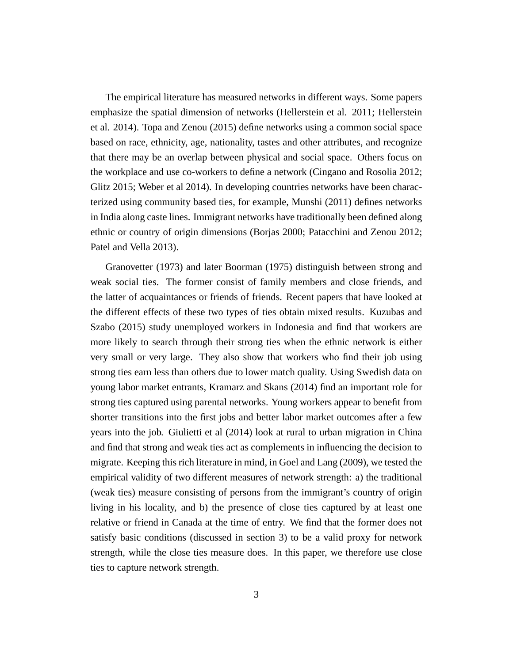The empirical literature has measured networks in different ways. Some papers emphasize the spatial dimension of networks (Hellerstein et al. 2011; Hellerstein et al. 2014). Topa and Zenou (2015) define networks using a common social space based on race, ethnicity, age, nationality, tastes and other attributes, and recognize that there may be an overlap between physical and social space. Others focus on the workplace and use co-workers to define a network (Cingano and Rosolia 2012; Glitz 2015; Weber et al 2014). In developing countries networks have been characterized using community based ties, for example, Munshi (2011) defines networks in India along caste lines. Immigrant networks have traditionally been defined along ethnic or country of origin dimensions (Borjas 2000; Patacchini and Zenou 2012; Patel and Vella 2013).

Granovetter (1973) and later Boorman (1975) distinguish between strong and weak social ties. The former consist of family members and close friends, and the latter of acquaintances or friends of friends. Recent papers that have looked at the different effects of these two types of ties obtain mixed results. Kuzubas and Szabo (2015) study unemployed workers in Indonesia and find that workers are more likely to search through their strong ties when the ethnic network is either very small or very large. They also show that workers who find their job using strong ties earn less than others due to lower match quality. Using Swedish data on young labor market entrants, Kramarz and Skans (2014) find an important role for strong ties captured using parental networks. Young workers appear to benefit from shorter transitions into the first jobs and better labor market outcomes after a few years into the job. Giulietti et al (2014) look at rural to urban migration in China and find that strong and weak ties act as complements in influencing the decision to migrate. Keeping this rich literature in mind, in Goel and Lang (2009), we tested the empirical validity of two different measures of network strength: a) the traditional (weak ties) measure consisting of persons from the immigrant's country of origin living in his locality, and b) the presence of close ties captured by at least one relative or friend in Canada at the time of entry. We find that the former does not satisfy basic conditions (discussed in section 3) to be a valid proxy for network strength, while the close ties measure does. In this paper, we therefore use close ties to capture network strength.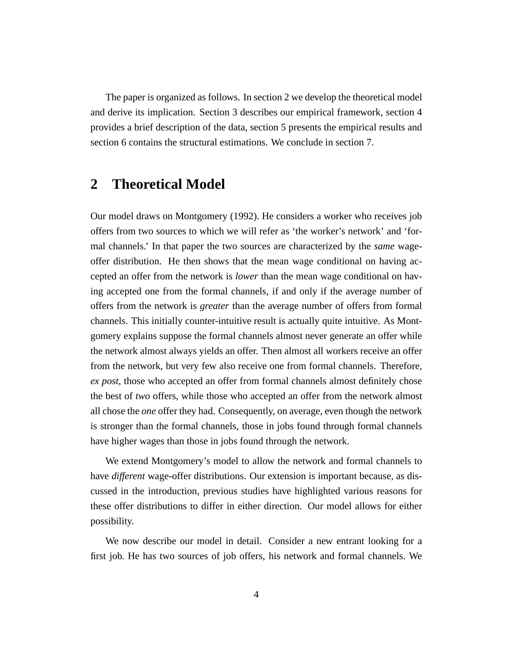The paper is organized as follows. In section 2 we develop the theoretical model and derive its implication. Section 3 describes our empirical framework, section 4 provides a brief description of the data, section 5 presents the empirical results and section 6 contains the structural estimations. We conclude in section 7.

# **2 Theoretical Model**

Our model draws on Montgomery (1992). He considers a worker who receives job offers from two sources to which we will refer as 'the worker's network' and 'formal channels.' In that paper the two sources are characterized by the *same* wageoffer distribution. He then shows that the mean wage conditional on having accepted an offer from the network is *lower* than the mean wage conditional on having accepted one from the formal channels, if and only if the average number of offers from the network is *greater* than the average number of offers from formal channels. This initially counter-intuitive result is actually quite intuitive. As Montgomery explains suppose the formal channels almost never generate an offer while the network almost always yields an offer. Then almost all workers receive an offer from the network, but very few also receive one from formal channels. Therefore, *ex post*, those who accepted an offer from formal channels almost definitely chose the best of *two* offers, while those who accepted an offer from the network almost all chose the *one* offer they had. Consequently, on average, even though the network is stronger than the formal channels, those in jobs found through formal channels have higher wages than those in jobs found through the network.

We extend Montgomery's model to allow the network and formal channels to have *different* wage-offer distributions. Our extension is important because, as discussed in the introduction, previous studies have highlighted various reasons for these offer distributions to differ in either direction. Our model allows for either possibility.

We now describe our model in detail. Consider a new entrant looking for a first job. He has two sources of job offers, his network and formal channels. We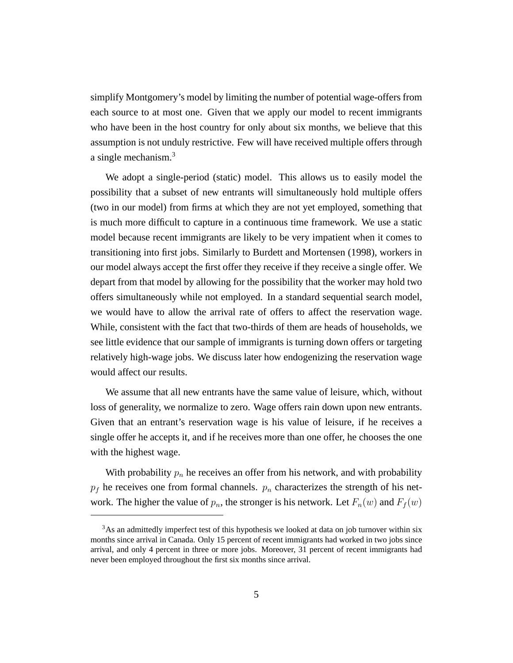simplify Montgomery's model by limiting the number of potential wage-offers from each source to at most one. Given that we apply our model to recent immigrants who have been in the host country for only about six months, we believe that this assumption is not unduly restrictive. Few will have received multiple offers through a single mechanism.<sup>3</sup>

We adopt a single-period (static) model. This allows us to easily model the possibility that a subset of new entrants will simultaneously hold multiple offers (two in our model) from firms at which they are not yet employed, something that is much more difficult to capture in a continuous time framework. We use a static model because recent immigrants are likely to be very impatient when it comes to transitioning into first jobs. Similarly to Burdett and Mortensen (1998), workers in our model always accept the first offer they receive if they receive a single offer. We depart from that model by allowing for the possibility that the worker may hold two offers simultaneously while not employed. In a standard sequential search model, we would have to allow the arrival rate of offers to affect the reservation wage. While, consistent with the fact that two-thirds of them are heads of households, we see little evidence that our sample of immigrants is turning down offers or targeting relatively high-wage jobs. We discuss later how endogenizing the reservation wage would affect our results.

We assume that all new entrants have the same value of leisure, which, without loss of generality, we normalize to zero. Wage offers rain down upon new entrants. Given that an entrant's reservation wage is his value of leisure, if he receives a single offer he accepts it, and if he receives more than one offer, he chooses the one with the highest wage.

With probability  $p_n$  he receives an offer from his network, and with probability  $p_f$  he receives one from formal channels.  $p_n$  characterizes the strength of his network. The higher the value of  $p_n$ , the stronger is his network. Let  $F_n(w)$  and  $F_f(w)$ 

<sup>&</sup>lt;sup>3</sup>As an admittedly imperfect test of this hypothesis we looked at data on job turnover within six months since arrival in Canada. Only 15 percent of recent immigrants had worked in two jobs since arrival, and only 4 percent in three or more jobs. Moreover, 31 percent of recent immigrants had never been employed throughout the first six months since arrival.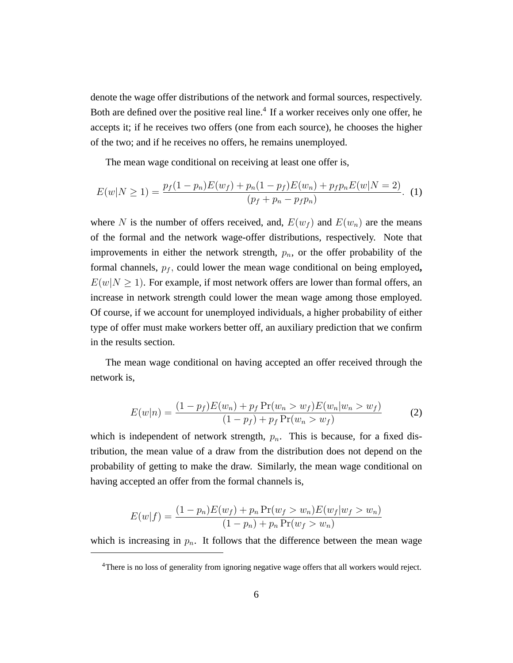denote the wage offer distributions of the network and formal sources, respectively. Both are defined over the positive real line.<sup>4</sup> If a worker receives only one offer, he accepts it; if he receives two offers (one from each source), he chooses the higher of the two; and if he receives no offers, he remains unemployed.

The mean wage conditional on receiving at least one offer is,

$$
E(w|N \ge 1) = \frac{p_f(1 - p_n)E(w_f) + p_n(1 - p_f)E(w_n) + p_f p_n E(w|N = 2)}{(p_f + p_n - p_f p_n)}.
$$
 (1)

where N is the number of offers received, and,  $E(w_f)$  and  $E(w_n)$  are the means of the formal and the network wage-offer distributions, respectively. Note that improvements in either the network strength,  $p_n$ , or the offer probability of the formal channels,  $p_f$ , could lower the mean wage conditional on being employed,  $E(w|N \ge 1)$ . For example, if most network offers are lower than formal offers, an increase in network strength could lower the mean wage among those employed. Of course, if we account for unemployed individuals, a higher probability of either type of offer must make workers better off, an auxiliary prediction that we confirm in the results section.

The mean wage conditional on having accepted an offer received through the network is,

$$
E(w|n) = \frac{(1 - p_f)E(w_n) + p_f \Pr(w_n > w_f)E(w_n|w_n > w_f)}{(1 - p_f) + p_f \Pr(w_n > w_f)}
$$
(2)

which is independent of network strength,  $p_n$ . This is because, for a fixed distribution, the mean value of a draw from the distribution does not depend on the probability of getting to make the draw. Similarly, the mean wage conditional on having accepted an offer from the formal channels is,

$$
E(w|f) = \frac{(1 - p_n)E(w_f) + p_n \Pr(w_f > w_n)E(w_f|w_f > w_n)}{(1 - p_n) + p_n \Pr(w_f > w_n)}
$$

which is increasing in  $p_n$ . It follows that the difference between the mean wage

<sup>4</sup>There is no loss of generality from ignoring negative wage offers that all workers would reject.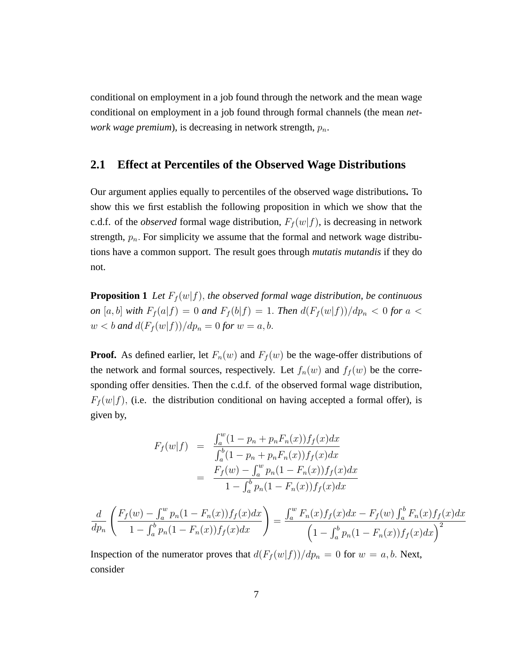conditional on employment in a job found through the network and the mean wage conditional on employment in a job found through formal channels (the mean *network wage premium*), is decreasing in network strength,  $p_n$ .

#### **2.1 Effect at Percentiles of the Observed Wage Distributions**

Our argument applies equally to percentiles of the observed wage distributions**.** To show this we first establish the following proposition in which we show that the c.d.f. of the *observed* formal wage distribution,  $F_f(w|f)$ , is decreasing in network strength,  $p_n$ . For simplicity we assume that the formal and network wage distributions have a common support. The result goes through *mutatis mutandis* if they do not.

**Proposition 1** *Let*  $F_f(w|f)$ *, the observed formal wage distribution, be continuous on* [a, b] with  $F_f(a|f) = 0$  and  $F_f(b|f) = 1$ . Then  $d(F_f(w|f))/dp_n < 0$  for a <  $w < b$  and  $d(F_f(w|f))/dp_n = 0$  for  $w = a, b$ .

**Proof.** As defined earlier, let  $F_n(w)$  and  $F_f(w)$  be the wage-offer distributions of the network and formal sources, respectively. Let  $f_n(w)$  and  $f_f(w)$  be the corresponding offer densities. Then the c.d.f. of the observed formal wage distribution,  $F_f(w|f)$ , (i.e. the distribution conditional on having accepted a formal offer), is given by,

$$
F_f(w|f) = \frac{\int_a^w (1 - p_n + p_n F_n(x)) f_f(x) dx}{\int_a^b (1 - p_n + p_n F_n(x)) f_f(x) dx}
$$
  
= 
$$
\frac{F_f(w) - \int_a^w p_n (1 - F_n(x)) f_f(x) dx}{1 - \int_a^b p_n (1 - F_n(x)) f_f(x) dx}
$$

$$
\frac{d}{dp_n}\left(\frac{F_f(w) - \int_a^w p_n(1 - F_n(x))f_f(x)dx}{1 - \int_a^b p_n(1 - F_n(x))f_f(x)dx}\right) = \frac{\int_a^w F_n(x)f_f(x)dx - F_f(w)\int_a^b F_n(x)f_f(x)dx}{\left(1 - \int_a^b p_n(1 - F_n(x))f_f(x)dx\right)^2}
$$

Inspection of the numerator proves that  $d(F_f(w|f))/dp_n = 0$  for  $w = a, b$ . Next, consider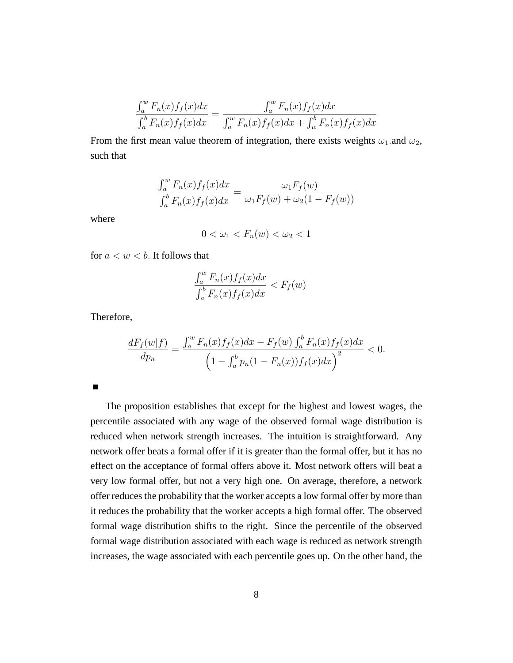$$
\frac{\int_{a}^{w} F_{n}(x) f_{f}(x) dx}{\int_{a}^{b} F_{n}(x) f_{f}(x) dx} = \frac{\int_{a}^{w} F_{n}(x) f_{f}(x) dx}{\int_{a}^{w} F_{n}(x) f_{f}(x) dx + \int_{w}^{b} F_{n}(x) f_{f}(x) dx}
$$

From the first mean value theorem of integration, there exists weights  $\omega_1$  and  $\omega_2$ , such that

$$
\frac{\int_a^w F_n(x)f_f(x)dx}{\int_a^b F_n(x)f_f(x)dx} = \frac{\omega_1 F_f(w)}{\omega_1 F_f(w) + \omega_2 (1 - F_f(w))}
$$

where

$$
0 < \omega_1 < F_n(w) < \omega_2 < 1
$$

for  $a < w < b$ . It follows that

$$
\frac{\int_a^w F_n(x)f_f(x)dx}{\int_a^b F_n(x)f_f(x)dx} < F_f(w)
$$

Therefore,

$$
\frac{dF_f(w|f)}{dp_n} = \frac{\int_a^w F_n(x)f_f(x)dx - F_f(w)\int_a^b F_n(x)f_f(x)dx}{\left(1 - \int_a^b p_n(1 - F_n(x))f_f(x)dx\right)^2} < 0.
$$

The proposition establishes that except for the highest and lowest wages, the percentile associated with any wage of the observed formal wage distribution is reduced when network strength increases. The intuition is straightforward. Any network offer beats a formal offer if it is greater than the formal offer, but it has no effect on the acceptance of formal offers above it. Most network offers will beat a very low formal offer, but not a very high one. On average, therefore, a network offer reduces the probability that the worker accepts a low formal offer by more than it reduces the probability that the worker accepts a high formal offer. The observed formal wage distribution shifts to the right. Since the percentile of the observed formal wage distribution associated with each wage is reduced as network strength increases, the wage associated with each percentile goes up. On the other hand, the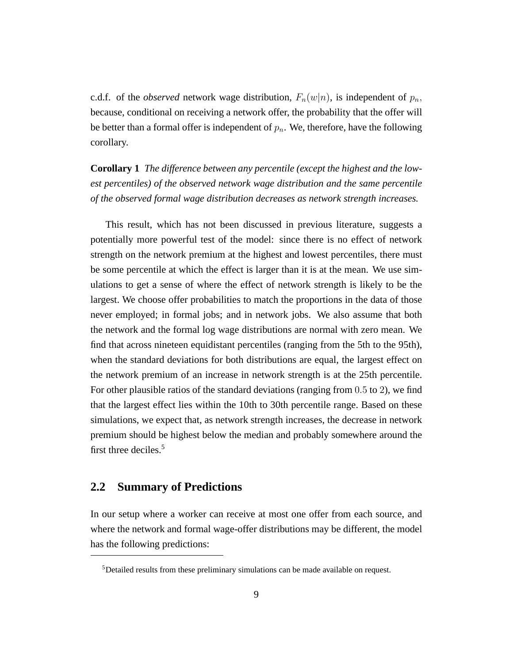c.d.f. of the *observed* network wage distribution,  $F_n(w|n)$ , is independent of  $p_n$ , because, conditional on receiving a network offer, the probability that the offer will be better than a formal offer is independent of  $p_n$ . We, therefore, have the following corollary.

**Corollary 1** *The difference between any percentile (except the highest and the lowest percentiles) of the observed network wage distribution and the same percentile of the observed formal wage distribution decreases as network strength increases.*

This result, which has not been discussed in previous literature, suggests a potentially more powerful test of the model: since there is no effect of network strength on the network premium at the highest and lowest percentiles, there must be some percentile at which the effect is larger than it is at the mean. We use simulations to get a sense of where the effect of network strength is likely to be the largest. We choose offer probabilities to match the proportions in the data of those never employed; in formal jobs; and in network jobs. We also assume that both the network and the formal log wage distributions are normal with zero mean. We find that across nineteen equidistant percentiles (ranging from the 5th to the 95th), when the standard deviations for both distributions are equal, the largest effect on the network premium of an increase in network strength is at the 25th percentile. For other plausible ratios of the standard deviations (ranging from  $0.5$  to  $2$ ), we find that the largest effect lies within the 10th to 30th percentile range. Based on these simulations, we expect that, as network strength increases, the decrease in network premium should be highest below the median and probably somewhere around the first three deciles.<sup>5</sup>

### **2.2 Summary of Predictions**

In our setup where a worker can receive at most one offer from each source, and where the network and formal wage-offer distributions may be different, the model has the following predictions:

<sup>5</sup>Detailed results from these preliminary simulations can be made available on request.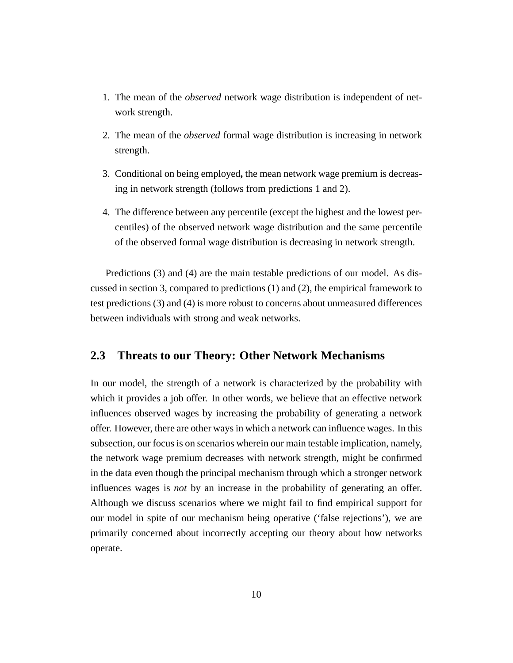- 1. The mean of the *observed* network wage distribution is independent of network strength.
- 2. The mean of the *observed* formal wage distribution is increasing in network strength.
- 3. Conditional on being employed**,** the mean network wage premium is decreasing in network strength (follows from predictions 1 and 2).
- 4. The difference between any percentile (except the highest and the lowest percentiles) of the observed network wage distribution and the same percentile of the observed formal wage distribution is decreasing in network strength.

Predictions (3) and (4) are the main testable predictions of our model. As discussed in section 3, compared to predictions (1) and (2), the empirical framework to test predictions (3) and (4) is more robust to concerns about unmeasured differences between individuals with strong and weak networks.

### **2.3 Threats to our Theory: Other Network Mechanisms**

In our model, the strength of a network is characterized by the probability with which it provides a job offer. In other words, we believe that an effective network influences observed wages by increasing the probability of generating a network offer. However, there are other ways in which a network can influence wages. In this subsection, our focus is on scenarios wherein our main testable implication, namely, the network wage premium decreases with network strength, might be confirmed in the data even though the principal mechanism through which a stronger network influences wages is *not* by an increase in the probability of generating an offer. Although we discuss scenarios where we might fail to find empirical support for our model in spite of our mechanism being operative ('false rejections'), we are primarily concerned about incorrectly accepting our theory about how networks operate.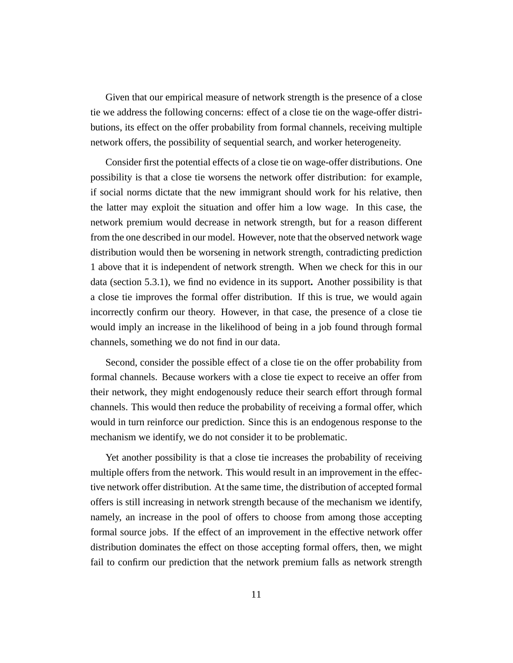Given that our empirical measure of network strength is the presence of a close tie we address the following concerns: effect of a close tie on the wage-offer distributions, its effect on the offer probability from formal channels, receiving multiple network offers, the possibility of sequential search, and worker heterogeneity.

Consider first the potential effects of a close tie on wage-offer distributions. One possibility is that a close tie worsens the network offer distribution: for example, if social norms dictate that the new immigrant should work for his relative, then the latter may exploit the situation and offer him a low wage. In this case, the network premium would decrease in network strength, but for a reason different from the one described in our model. However, note that the observed network wage distribution would then be worsening in network strength, contradicting prediction 1 above that it is independent of network strength. When we check for this in our data (section 5.3.1), we find no evidence in its support**.** Another possibility is that a close tie improves the formal offer distribution. If this is true, we would again incorrectly confirm our theory. However, in that case, the presence of a close tie would imply an increase in the likelihood of being in a job found through formal channels, something we do not find in our data.

Second, consider the possible effect of a close tie on the offer probability from formal channels. Because workers with a close tie expect to receive an offer from their network, they might endogenously reduce their search effort through formal channels. This would then reduce the probability of receiving a formal offer, which would in turn reinforce our prediction. Since this is an endogenous response to the mechanism we identify, we do not consider it to be problematic.

Yet another possibility is that a close tie increases the probability of receiving multiple offers from the network. This would result in an improvement in the effective network offer distribution. At the same time, the distribution of accepted formal offers is still increasing in network strength because of the mechanism we identify, namely, an increase in the pool of offers to choose from among those accepting formal source jobs. If the effect of an improvement in the effective network offer distribution dominates the effect on those accepting formal offers, then, we might fail to confirm our prediction that the network premium falls as network strength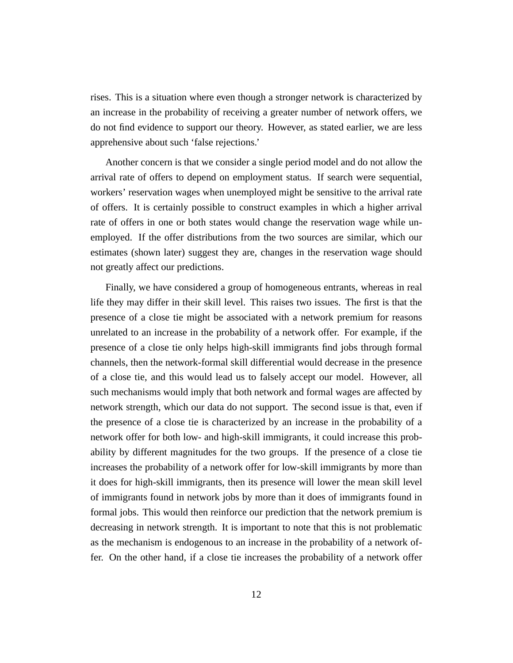rises. This is a situation where even though a stronger network is characterized by an increase in the probability of receiving a greater number of network offers, we do not find evidence to support our theory. However, as stated earlier, we are less apprehensive about such 'false rejections.'

Another concern is that we consider a single period model and do not allow the arrival rate of offers to depend on employment status. If search were sequential, workers' reservation wages when unemployed might be sensitive to the arrival rate of offers. It is certainly possible to construct examples in which a higher arrival rate of offers in one or both states would change the reservation wage while unemployed. If the offer distributions from the two sources are similar, which our estimates (shown later) suggest they are, changes in the reservation wage should not greatly affect our predictions.

Finally, we have considered a group of homogeneous entrants, whereas in real life they may differ in their skill level. This raises two issues. The first is that the presence of a close tie might be associated with a network premium for reasons unrelated to an increase in the probability of a network offer. For example, if the presence of a close tie only helps high-skill immigrants find jobs through formal channels, then the network-formal skill differential would decrease in the presence of a close tie, and this would lead us to falsely accept our model. However, all such mechanisms would imply that both network and formal wages are affected by network strength, which our data do not support. The second issue is that, even if the presence of a close tie is characterized by an increase in the probability of a network offer for both low- and high-skill immigrants, it could increase this probability by different magnitudes for the two groups. If the presence of a close tie increases the probability of a network offer for low-skill immigrants by more than it does for high-skill immigrants, then its presence will lower the mean skill level of immigrants found in network jobs by more than it does of immigrants found in formal jobs. This would then reinforce our prediction that the network premium is decreasing in network strength. It is important to note that this is not problematic as the mechanism is endogenous to an increase in the probability of a network offer. On the other hand, if a close tie increases the probability of a network offer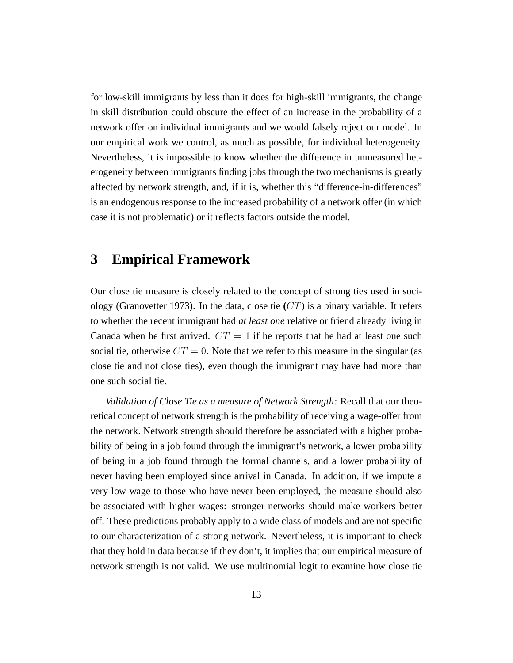for low-skill immigrants by less than it does for high-skill immigrants, the change in skill distribution could obscure the effect of an increase in the probability of a network offer on individual immigrants and we would falsely reject our model. In our empirical work we control, as much as possible, for individual heterogeneity. Nevertheless, it is impossible to know whether the difference in unmeasured heterogeneity between immigrants finding jobs through the two mechanisms is greatly affected by network strength, and, if it is, whether this "difference-in-differences" is an endogenous response to the increased probability of a network offer (in which case it is not problematic) or it reflects factors outside the model.

### **3 Empirical Framework**

Our close tie measure is closely related to the concept of strong ties used in sociology (Granovetter 1973). In the data, close tie  $(CT)$  is a binary variable. It refers to whether the recent immigrant had *at least one* relative or friend already living in Canada when he first arrived.  $CT = 1$  if he reports that he had at least one such social tie, otherwise  $CT = 0$ . Note that we refer to this measure in the singular (as close tie and not close ties), even though the immigrant may have had more than one such social tie.

*Validation of Close Tie as a measure of Network Strength:* Recall that our theoretical concept of network strength is the probability of receiving a wage-offer from the network. Network strength should therefore be associated with a higher probability of being in a job found through the immigrant's network, a lower probability of being in a job found through the formal channels, and a lower probability of never having been employed since arrival in Canada. In addition, if we impute a very low wage to those who have never been employed, the measure should also be associated with higher wages: stronger networks should make workers better off. These predictions probably apply to a wide class of models and are not specific to our characterization of a strong network. Nevertheless, it is important to check that they hold in data because if they don't, it implies that our empirical measure of network strength is not valid. We use multinomial logit to examine how close tie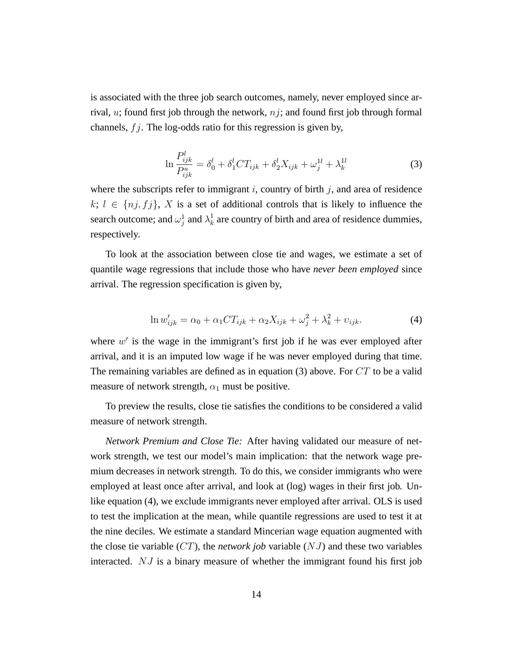is associated with the three job search outcomes, namely, never employed since arrival,  $u$ ; found first job through the network,  $nj$ ; and found first job through formal channels,  $f_j$ . The log-odds ratio for this regression is given by,

$$
\ln \frac{P_{ijk}^l}{P_{ijk}^u} = \delta_0^l + \delta_1^l C T_{ijk} + \delta_2^l X_{ijk} + \omega_j^{1l} + \lambda_k^{1l}
$$
 (3)

where the subscripts refer to immigrant i, country of birth j, and area of residence  $k; l \in \{nj, fj\}, X$  is a set of additional controls that is likely to influence the search outcome; and  $\omega_j^1$  and  $\lambda_k^1$  $\frac{1}{k}$  are country of birth and area of residence dummies, respectively.

To look at the association between close tie and wages, we estimate a set of quantile wage regressions that include those who have *never been employed* since arrival. The regression specification is given by,

$$
\ln w'_{ijk} = \alpha_0 + \alpha_1 CT_{ijk} + \alpha_2 X_{ijk} + \omega_j^2 + \lambda_k^2 + \upsilon_{ijk}.
$$
\n<sup>(4)</sup>

where  $w'$  is the wage in the immigrant's first job if he was ever employed after arrival, and it is an imputed low wage if he was never employed during that time. The remaining variables are defined as in equation (3) above. For  $CT$  to be a valid measure of network strength,  $\alpha_1$  must be positive.

To preview the results, close tie satisfies the conditions to be considered a valid measure of network strength.

*Network Premium and Close Tie:* After having validated our measure of network strength, we test our model's main implication: that the network wage premium decreases in network strength. To do this, we consider immigrants who were employed at least once after arrival, and look at (log) wages in their first job. Unlike equation (4), we exclude immigrants never employed after arrival. OLS is used to test the implication at the mean, while quantile regressions are used to test it at the nine deciles. We estimate a standard Mincerian wage equation augmented with the close tie variable  $(CT)$ , the *network job* variable  $(NJ)$  and these two variables interacted. NJ is a binary measure of whether the immigrant found his first job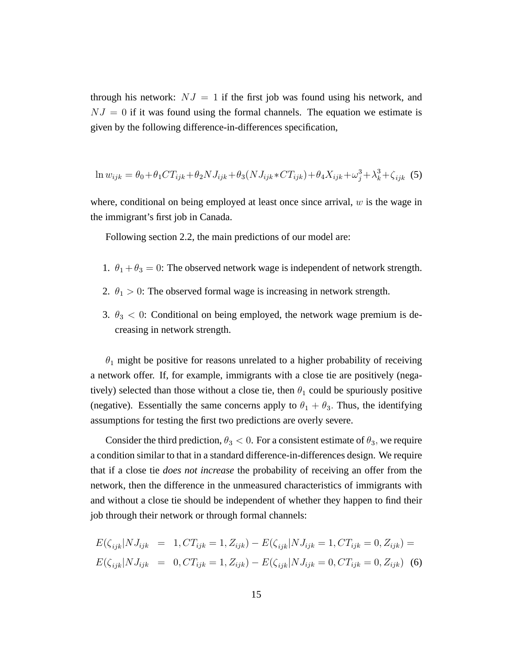through his network:  $NJ = 1$  if the first job was found using his network, and  $NJ = 0$  if it was found using the formal channels. The equation we estimate is given by the following difference-in-differences specification,

$$
\ln w_{ijk} = \theta_0 + \theta_1 CT_{ijk} + \theta_2 NJ_{ijk} + \theta_3 (NJ_{ijk} * CT_{ijk}) + \theta_4 X_{ijk} + \omega_j^3 + \lambda_k^3 + \zeta_{ijk} \tag{5}
$$

where, conditional on being employed at least once since arrival,  $w$  is the wage in the immigrant's first job in Canada.

Following section 2.2, the main predictions of our model are:

- 1.  $\theta_1 + \theta_3 = 0$ : The observed network wage is independent of network strength.
- 2.  $\theta_1 > 0$ : The observed formal wage is increasing in network strength.
- 3.  $\theta_3$  < 0: Conditional on being employed, the network wage premium is decreasing in network strength.

 $\theta_1$  might be positive for reasons unrelated to a higher probability of receiving a network offer. If, for example, immigrants with a close tie are positively (negatively) selected than those without a close tie, then  $\theta_1$  could be spuriously positive (negative). Essentially the same concerns apply to  $\theta_1 + \theta_3$ . Thus, the identifying assumptions for testing the first two predictions are overly severe.

Consider the third prediction,  $\theta_3 < 0$ . For a consistent estimate of  $\theta_3$ , we require a condition similar to that in a standard difference-in-differences design. We require that if a close tie *does not increase* the probability of receiving an offer from the network, then the difference in the unmeasured characteristics of immigrants with and without a close tie should be independent of whether they happen to find their job through their network or through formal channels:

$$
E(\zeta_{ijk}|NJ_{ijk} = 1, CT_{ijk} = 1, Z_{ijk}) - E(\zeta_{ijk}|NJ_{ijk} = 1, CT_{ijk} = 0, Z_{ijk}) =
$$
  

$$
E(\zeta_{ijk}|NJ_{ijk} = 0, CT_{ijk} = 1, Z_{ijk}) - E(\zeta_{ijk}|NJ_{ijk} = 0, CT_{ijk} = 0, Z_{ijk})
$$
 (6)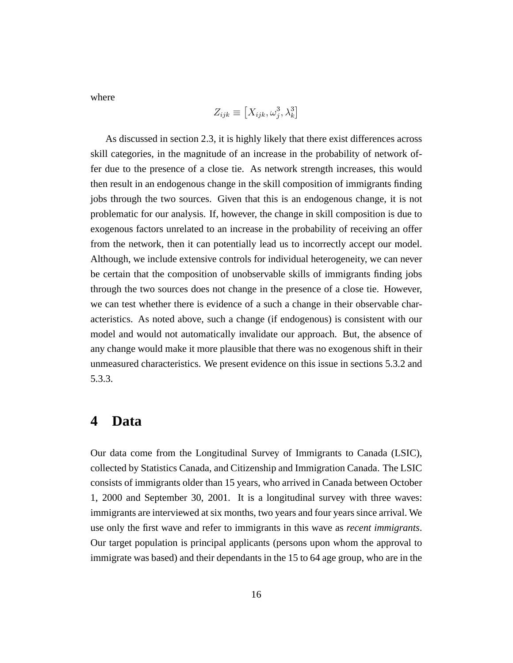where

$$
Z_{ijk} \equiv \left[X_{ijk}, \omega_j^3, \lambda_k^3\right]
$$

As discussed in section 2.3, it is highly likely that there exist differences across skill categories, in the magnitude of an increase in the probability of network offer due to the presence of a close tie. As network strength increases, this would then result in an endogenous change in the skill composition of immigrants finding jobs through the two sources. Given that this is an endogenous change, it is not problematic for our analysis. If, however, the change in skill composition is due to exogenous factors unrelated to an increase in the probability of receiving an offer from the network, then it can potentially lead us to incorrectly accept our model. Although, we include extensive controls for individual heterogeneity, we can never be certain that the composition of unobservable skills of immigrants finding jobs through the two sources does not change in the presence of a close tie. However, we can test whether there is evidence of a such a change in their observable characteristics. As noted above, such a change (if endogenous) is consistent with our model and would not automatically invalidate our approach. But, the absence of any change would make it more plausible that there was no exogenous shift in their unmeasured characteristics. We present evidence on this issue in sections 5.3.2 and 5.3.3.

### **4 Data**

Our data come from the Longitudinal Survey of Immigrants to Canada (LSIC), collected by Statistics Canada, and Citizenship and Immigration Canada. The LSIC consists of immigrants older than 15 years, who arrived in Canada between October 1, 2000 and September 30, 2001. It is a longitudinal survey with three waves: immigrants are interviewed at six months, two years and four years since arrival. We use only the first wave and refer to immigrants in this wave as *recent immigrants*. Our target population is principal applicants (persons upon whom the approval to immigrate was based) and their dependants in the 15 to 64 age group, who are in the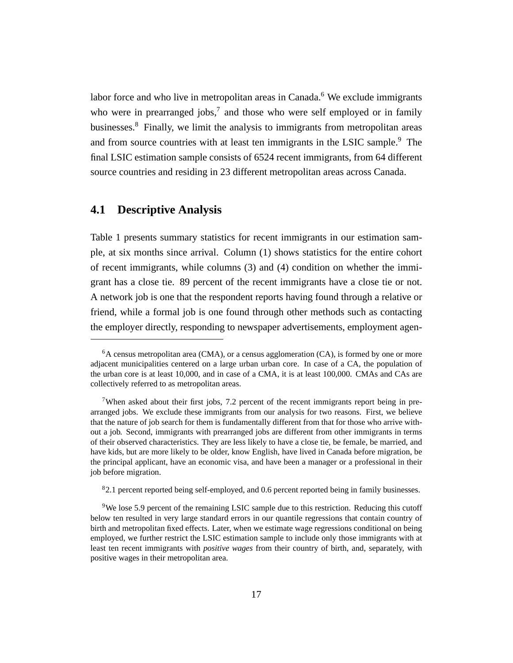labor force and who live in metropolitan areas in Canada.<sup>6</sup> We exclude immigrants who were in prearranged jobs, $7$  and those who were self employed or in family businesses.<sup>8</sup> Finally, we limit the analysis to immigrants from metropolitan areas and from source countries with at least ten immigrants in the LSIC sample.<sup>9</sup> The final LSIC estimation sample consists of 6524 recent immigrants, from 64 different source countries and residing in 23 different metropolitan areas across Canada.

### **4.1 Descriptive Analysis**

Table 1 presents summary statistics for recent immigrants in our estimation sample, at six months since arrival. Column (1) shows statistics for the entire cohort of recent immigrants, while columns (3) and (4) condition on whether the immigrant has a close tie. 89 percent of the recent immigrants have a close tie or not. A network job is one that the respondent reports having found through a relative or friend, while a formal job is one found through other methods such as contacting the employer directly, responding to newspaper advertisements, employment agen-

<sup>8</sup>2.1 percent reported being self-employed, and 0.6 percent reported being in family businesses.

 $6A$  census metropolitan area (CMA), or a census agglomeration (CA), is formed by one or more adjacent municipalities centered on a large urban urban core. In case of a CA, the population of the urban core is at least 10,000, and in case of a CMA, it is at least 100,000. CMAs and CAs are collectively referred to as metropolitan areas.

<sup>7</sup>When asked about their first jobs, 7.2 percent of the recent immigrants report being in prearranged jobs. We exclude these immigrants from our analysis for two reasons. First, we believe that the nature of job search for them is fundamentally different from that for those who arrive without a job. Second, immigrants with prearranged jobs are different from other immigrants in terms of their observed characteristics. They are less likely to have a close tie, be female, be married, and have kids, but are more likely to be older, know English, have lived in Canada before migration, be the principal applicant, have an economic visa, and have been a manager or a professional in their job before migration.

<sup>&</sup>lt;sup>9</sup>We lose 5.9 percent of the remaining LSIC sample due to this restriction. Reducing this cutoff below ten resulted in very large standard errors in our quantile regressions that contain country of birth and metropolitan fixed effects. Later, when we estimate wage regressions conditional on being employed, we further restrict the LSIC estimation sample to include only those immigrants with at least ten recent immigrants with *positive wages* from their country of birth, and, separately, with positive wages in their metropolitan area.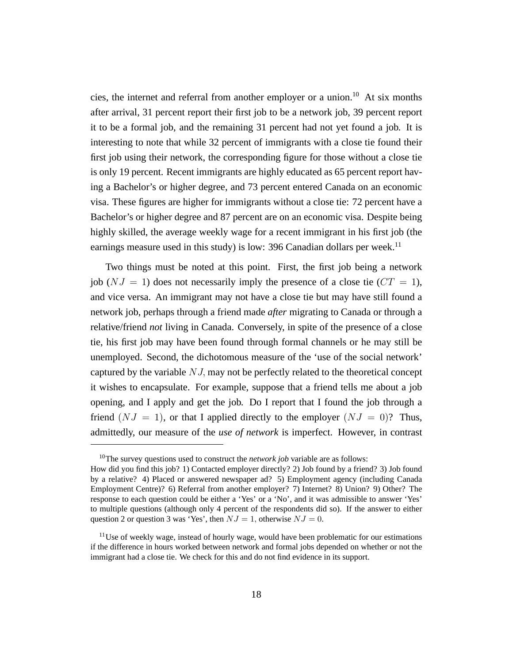cies, the internet and referral from another employer or a union.<sup>10</sup> At six months after arrival, 31 percent report their first job to be a network job, 39 percent report it to be a formal job, and the remaining 31 percent had not yet found a job. It is interesting to note that while 32 percent of immigrants with a close tie found their first job using their network, the corresponding figure for those without a close tie is only 19 percent. Recent immigrants are highly educated as 65 percent report having a Bachelor's or higher degree, and 73 percent entered Canada on an economic visa. These figures are higher for immigrants without a close tie: 72 percent have a Bachelor's or higher degree and 87 percent are on an economic visa. Despite being highly skilled, the average weekly wage for a recent immigrant in his first job (the earnings measure used in this study) is low: 396 Canadian dollars per week.<sup>11</sup>

Two things must be noted at this point. First, the first job being a network job ( $NJ = 1$ ) does not necessarily imply the presence of a close tie ( $CT = 1$ ), and vice versa. An immigrant may not have a close tie but may have still found a network job, perhaps through a friend made *after* migrating to Canada or through a relative/friend *not* living in Canada. Conversely, in spite of the presence of a close tie, his first job may have been found through formal channels or he may still be unemployed. Second, the dichotomous measure of the 'use of the social network' captured by the variable  $NJ$ , may not be perfectly related to the theoretical concept it wishes to encapsulate. For example, suppose that a friend tells me about a job opening, and I apply and get the job. Do I report that I found the job through a friend  $(NJ = 1)$ , or that I applied directly to the employer  $(NJ = 0)$ ? Thus, admittedly, our measure of the *use of network* is imperfect. However, in contrast

<sup>&</sup>lt;sup>10</sup>The survey questions used to construct the *network job* variable are as follows: How did you find this job? 1) Contacted employer directly? 2) Job found by a friend? 3) Job found by a relative? 4) Placed or answered newspaper ad? 5) Employment agency (including Canada Employment Centre)? 6) Referral from another employer? 7) Internet? 8) Union? 9) Other? The response to each question could be either a 'Yes' or a 'No', and it was admissible to answer 'Yes' to multiple questions (although only 4 percent of the respondents did so). If the answer to either question 2 or question 3 was 'Yes', then  $NJ = 1$ , otherwise  $NJ = 0$ .

 $11$ Use of weekly wage, instead of hourly wage, would have been problematic for our estimations if the difference in hours worked between network and formal jobs depended on whether or not the immigrant had a close tie. We check for this and do not find evidence in its support.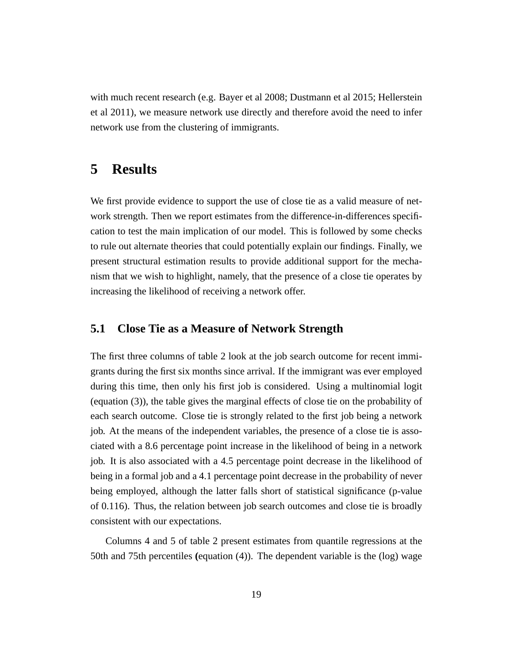with much recent research (e.g. Bayer et al 2008; Dustmann et al 2015; Hellerstein et al 2011), we measure network use directly and therefore avoid the need to infer network use from the clustering of immigrants.

### **5 Results**

We first provide evidence to support the use of close tie as a valid measure of network strength. Then we report estimates from the difference-in-differences specification to test the main implication of our model. This is followed by some checks to rule out alternate theories that could potentially explain our findings. Finally, we present structural estimation results to provide additional support for the mechanism that we wish to highlight, namely, that the presence of a close tie operates by increasing the likelihood of receiving a network offer.

### **5.1 Close Tie as a Measure of Network Strength**

The first three columns of table 2 look at the job search outcome for recent immigrants during the first six months since arrival. If the immigrant was ever employed during this time, then only his first job is considered. Using a multinomial logit (equation (3)), the table gives the marginal effects of close tie on the probability of each search outcome. Close tie is strongly related to the first job being a network job. At the means of the independent variables, the presence of a close tie is associated with a 8.6 percentage point increase in the likelihood of being in a network job. It is also associated with a 4.5 percentage point decrease in the likelihood of being in a formal job and a 4.1 percentage point decrease in the probability of never being employed, although the latter falls short of statistical significance (p-value of 0.116). Thus, the relation between job search outcomes and close tie is broadly consistent with our expectations.

Columns 4 and 5 of table 2 present estimates from quantile regressions at the 50th and 75th percentiles **(**equation (4)). The dependent variable is the (log) wage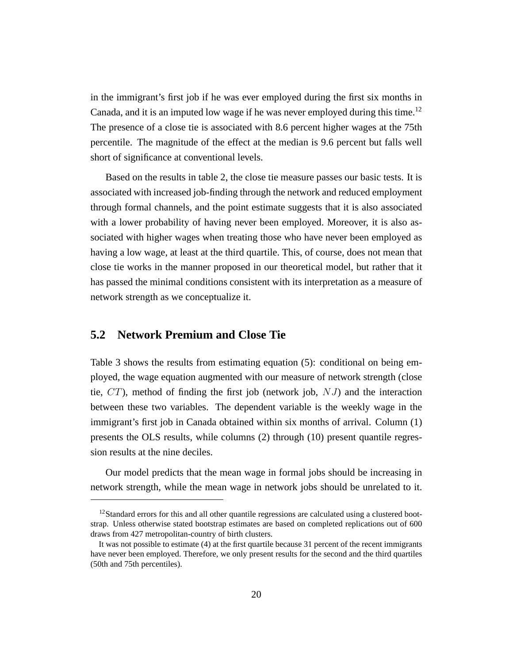in the immigrant's first job if he was ever employed during the first six months in Canada, and it is an imputed low wage if he was never employed during this time.<sup>12</sup> The presence of a close tie is associated with 8.6 percent higher wages at the 75th percentile. The magnitude of the effect at the median is 9.6 percent but falls well short of significance at conventional levels.

Based on the results in table 2, the close tie measure passes our basic tests. It is associated with increased job-finding through the network and reduced employment through formal channels, and the point estimate suggests that it is also associated with a lower probability of having never been employed. Moreover, it is also associated with higher wages when treating those who have never been employed as having a low wage, at least at the third quartile. This, of course, does not mean that close tie works in the manner proposed in our theoretical model, but rather that it has passed the minimal conditions consistent with its interpretation as a measure of network strength as we conceptualize it.

### **5.2 Network Premium and Close Tie**

Table 3 shows the results from estimating equation (5): conditional on being employed, the wage equation augmented with our measure of network strength (close tie,  $CT$ ), method of finding the first job (network job,  $NJ$ ) and the interaction between these two variables. The dependent variable is the weekly wage in the immigrant's first job in Canada obtained within six months of arrival. Column (1) presents the OLS results, while columns (2) through (10) present quantile regression results at the nine deciles.

Our model predicts that the mean wage in formal jobs should be increasing in network strength, while the mean wage in network jobs should be unrelated to it.

<sup>&</sup>lt;sup>12</sup>Standard errors for this and all other quantile regressions are calculated using a clustered bootstrap. Unless otherwise stated bootstrap estimates are based on completed replications out of 600 draws from 427 metropolitan-country of birth clusters.

It was not possible to estimate (4) at the first quartile because 31 percent of the recent immigrants have never been employed. Therefore, we only present results for the second and the third quartiles (50th and 75th percentiles).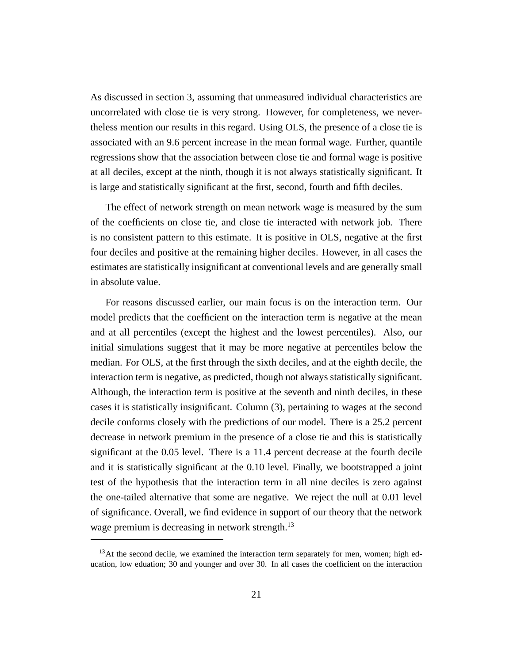As discussed in section 3, assuming that unmeasured individual characteristics are uncorrelated with close tie is very strong. However, for completeness, we nevertheless mention our results in this regard. Using OLS, the presence of a close tie is associated with an 9.6 percent increase in the mean formal wage. Further, quantile regressions show that the association between close tie and formal wage is positive at all deciles, except at the ninth, though it is not always statistically significant. It is large and statistically significant at the first, second, fourth and fifth deciles.

The effect of network strength on mean network wage is measured by the sum of the coefficients on close tie, and close tie interacted with network job. There is no consistent pattern to this estimate. It is positive in OLS, negative at the first four deciles and positive at the remaining higher deciles. However, in all cases the estimates are statistically insignificant at conventional levels and are generally small in absolute value.

For reasons discussed earlier, our main focus is on the interaction term. Our model predicts that the coefficient on the interaction term is negative at the mean and at all percentiles (except the highest and the lowest percentiles). Also, our initial simulations suggest that it may be more negative at percentiles below the median. For OLS, at the first through the sixth deciles, and at the eighth decile, the interaction term is negative, as predicted, though not always statistically significant. Although, the interaction term is positive at the seventh and ninth deciles, in these cases it is statistically insignificant. Column (3), pertaining to wages at the second decile conforms closely with the predictions of our model. There is a 25.2 percent decrease in network premium in the presence of a close tie and this is statistically significant at the 0.05 level. There is a 11.4 percent decrease at the fourth decile and it is statistically significant at the 0.10 level. Finally, we bootstrapped a joint test of the hypothesis that the interaction term in all nine deciles is zero against the one-tailed alternative that some are negative. We reject the null at 0.01 level of significance. Overall, we find evidence in support of our theory that the network wage premium is decreasing in network strength.<sup>13</sup>

 $13$ At the second decile, we examined the interaction term separately for men, women; high education, low eduation; 30 and younger and over 30. In all cases the coefficient on the interaction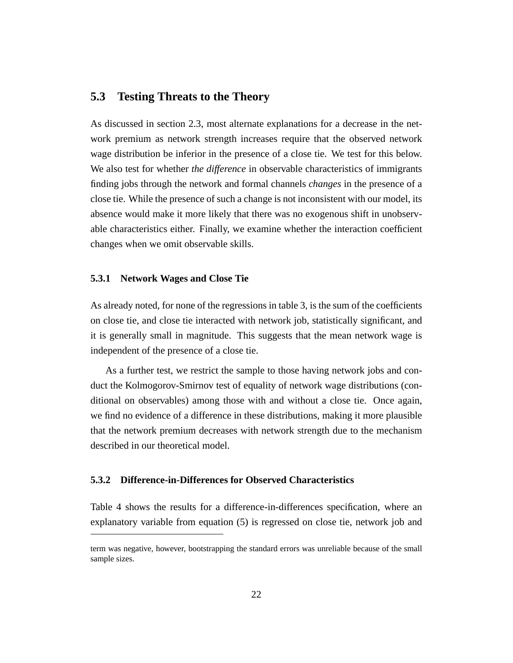### **5.3 Testing Threats to the Theory**

As discussed in section 2.3, most alternate explanations for a decrease in the network premium as network strength increases require that the observed network wage distribution be inferior in the presence of a close tie. We test for this below. We also test for whether *the difference* in observable characteristics of immigrants finding jobs through the network and formal channels *changes* in the presence of a close tie. While the presence of such a change is not inconsistent with our model, its absence would make it more likely that there was no exogenous shift in unobservable characteristics either. Finally, we examine whether the interaction coefficient changes when we omit observable skills.

#### **5.3.1 Network Wages and Close Tie**

As already noted, for none of the regressions in table 3, is the sum of the coefficients on close tie, and close tie interacted with network job, statistically significant, and it is generally small in magnitude. This suggests that the mean network wage is independent of the presence of a close tie.

As a further test, we restrict the sample to those having network jobs and conduct the Kolmogorov-Smirnov test of equality of network wage distributions (conditional on observables) among those with and without a close tie. Once again, we find no evidence of a difference in these distributions, making it more plausible that the network premium decreases with network strength due to the mechanism described in our theoretical model.

#### **5.3.2 Difference-in-Differences for Observed Characteristics**

Table 4 shows the results for a difference-in-differences specification, where an explanatory variable from equation (5) is regressed on close tie, network job and

term was negative, however, bootstrapping the standard errors was unreliable because of the small sample sizes.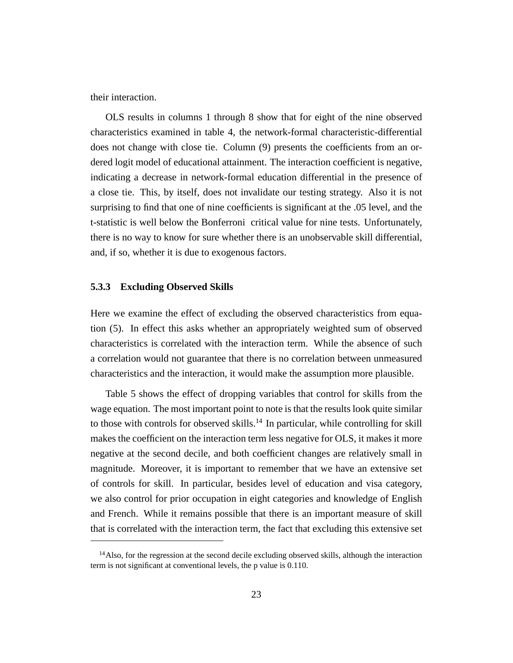their interaction.

OLS results in columns 1 through 8 show that for eight of the nine observed characteristics examined in table 4, the network-formal characteristic-differential does not change with close tie. Column (9) presents the coefficients from an ordered logit model of educational attainment. The interaction coefficient is negative, indicating a decrease in network-formal education differential in the presence of a close tie. This, by itself, does not invalidate our testing strategy. Also it is not surprising to find that one of nine coefficients is significant at the .05 level, and the t-statistic is well below the Bonferroni critical value for nine tests. Unfortunately, there is no way to know for sure whether there is an unobservable skill differential, and, if so, whether it is due to exogenous factors.

#### **5.3.3 Excluding Observed Skills**

Here we examine the effect of excluding the observed characteristics from equation (5). In effect this asks whether an appropriately weighted sum of observed characteristics is correlated with the interaction term. While the absence of such a correlation would not guarantee that there is no correlation between unmeasured characteristics and the interaction, it would make the assumption more plausible.

Table 5 shows the effect of dropping variables that control for skills from the wage equation. The most important point to note is that the results look quite similar to those with controls for observed skills.<sup>14</sup> In particular, while controlling for skill makes the coefficient on the interaction term less negative for OLS, it makes it more negative at the second decile, and both coefficient changes are relatively small in magnitude. Moreover, it is important to remember that we have an extensive set of controls for skill. In particular, besides level of education and visa category, we also control for prior occupation in eight categories and knowledge of English and French. While it remains possible that there is an important measure of skill that is correlated with the interaction term, the fact that excluding this extensive set

<sup>&</sup>lt;sup>14</sup>Also, for the regression at the second decile excluding observed skills, although the interaction term is not significant at conventional levels, the p value is 0.110.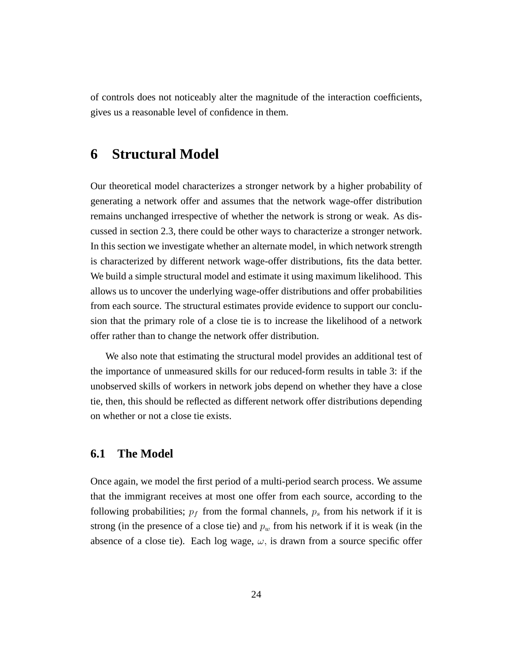of controls does not noticeably alter the magnitude of the interaction coefficients, gives us a reasonable level of confidence in them.

# **6 Structural Model**

Our theoretical model characterizes a stronger network by a higher probability of generating a network offer and assumes that the network wage-offer distribution remains unchanged irrespective of whether the network is strong or weak. As discussed in section 2.3, there could be other ways to characterize a stronger network. In this section we investigate whether an alternate model, in which network strength is characterized by different network wage-offer distributions, fits the data better. We build a simple structural model and estimate it using maximum likelihood. This allows us to uncover the underlying wage-offer distributions and offer probabilities from each source. The structural estimates provide evidence to support our conclusion that the primary role of a close tie is to increase the likelihood of a network offer rather than to change the network offer distribution.

We also note that estimating the structural model provides an additional test of the importance of unmeasured skills for our reduced-form results in table 3: if the unobserved skills of workers in network jobs depend on whether they have a close tie, then, this should be reflected as different network offer distributions depending on whether or not a close tie exists.

### **6.1 The Model**

Once again, we model the first period of a multi-period search process. We assume that the immigrant receives at most one offer from each source, according to the following probabilities;  $p_f$  from the formal channels,  $p_s$  from his network if it is strong (in the presence of a close tie) and  $p_w$  from his network if it is weak (in the absence of a close tie). Each log wage,  $\omega$ , is drawn from a source specific offer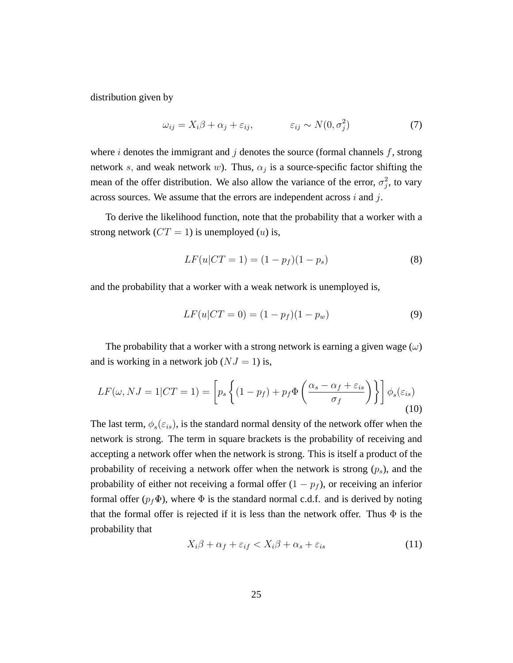distribution given by

$$
\omega_{ij} = X_i \beta + \alpha_j + \varepsilon_{ij}, \qquad \varepsilon_{ij} \sim N(0, \sigma_j^2) \tag{7}
$$

where i denotes the immigrant and j denotes the source (formal channels  $f$ , strong network s, and weak network w). Thus,  $\alpha_j$  is a source-specific factor shifting the mean of the offer distribution. We also allow the variance of the error,  $\sigma_j^2$ , to vary across sources. We assume that the errors are independent across  $i$  and  $j$ .

To derive the likelihood function, note that the probability that a worker with a strong network ( $CT = 1$ ) is unemployed (*u*) is,

$$
LF(u|CT = 1) = (1 - p_f)(1 - p_s)
$$
\n(8)

and the probability that a worker with a weak network is unemployed is,

$$
LF(u|CT = 0) = (1 - p_f)(1 - p_w)
$$
\n(9)

The probability that a worker with a strong network is earning a given wage  $(\omega)$ and is working in a network job  $(NJ = 1)$  is,

$$
LF(\omega, NJ = 1|CT = 1) = \left[ p_s \left\{ (1 - p_f) + p_f \Phi \left( \frac{\alpha_s - \alpha_f + \varepsilon_{is}}{\sigma_f} \right) \right\} \right] \phi_s(\varepsilon_{is})
$$
\n(10)

The last term,  $\phi_s(\varepsilon_{is})$ , is the standard normal density of the network offer when the network is strong. The term in square brackets is the probability of receiving and accepting a network offer when the network is strong. This is itself a product of the probability of receiving a network offer when the network is strong  $(p_s)$ , and the probability of either not receiving a formal offer  $(1 - p_f)$ , or receiving an inferior formal offer ( $p_f\Phi$ ), where  $\Phi$  is the standard normal c.d.f. and is derived by noting that the formal offer is rejected if it is less than the network offer. Thus  $\Phi$  is the probability that

$$
X_i\beta + \alpha_f + \varepsilon_{if} < X_i\beta + \alpha_s + \varepsilon_{is} \tag{11}
$$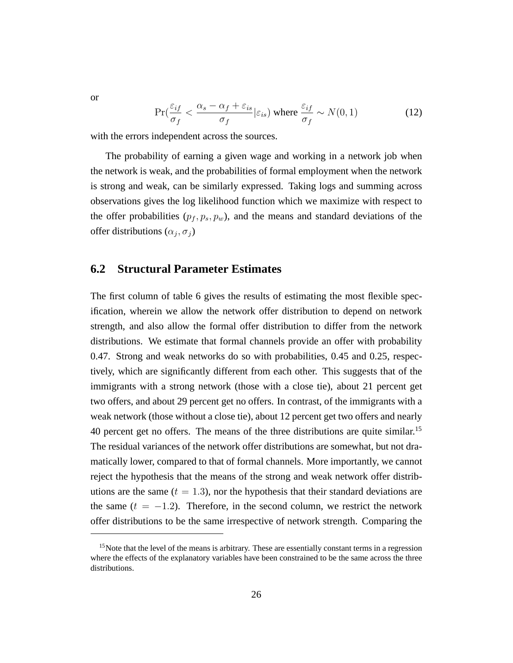$$
\Pr(\frac{\varepsilon_{if}}{\sigma_f} < \frac{\alpha_s - \alpha_f + \varepsilon_{is}}{\sigma_f} | \varepsilon_{is}) \text{ where } \frac{\varepsilon_{if}}{\sigma_f} \sim N(0, 1) \tag{12}
$$

with the errors independent across the sources.

The probability of earning a given wage and working in a network job when the network is weak, and the probabilities of formal employment when the network is strong and weak, can be similarly expressed. Taking logs and summing across observations gives the log likelihood function which we maximize with respect to the offer probabilities  $(p_f, p_s, p_w)$ , and the means and standard deviations of the offer distributions  $(\alpha_j, \sigma_j)$ 

### **6.2 Structural Parameter Estimates**

The first column of table 6 gives the results of estimating the most flexible specification, wherein we allow the network offer distribution to depend on network strength, and also allow the formal offer distribution to differ from the network distributions. We estimate that formal channels provide an offer with probability 0.47. Strong and weak networks do so with probabilities, 0.45 and 0.25, respectively, which are significantly different from each other. This suggests that of the immigrants with a strong network (those with a close tie), about 21 percent get two offers, and about 29 percent get no offers. In contrast, of the immigrants with a weak network (those without a close tie), about 12 percent get two offers and nearly 40 percent get no offers. The means of the three distributions are quite similar.<sup>15</sup> The residual variances of the network offer distributions are somewhat, but not dramatically lower, compared to that of formal channels. More importantly, we cannot reject the hypothesis that the means of the strong and weak network offer distributions are the same  $(t = 1.3)$ , nor the hypothesis that their standard deviations are the same  $(t = -1.2)$ . Therefore, in the second column, we restrict the network offer distributions to be the same irrespective of network strength. Comparing the

or

 $15$ Note that the level of the means is arbitrary. These are essentially constant terms in a regression where the effects of the explanatory variables have been constrained to be the same across the three distributions.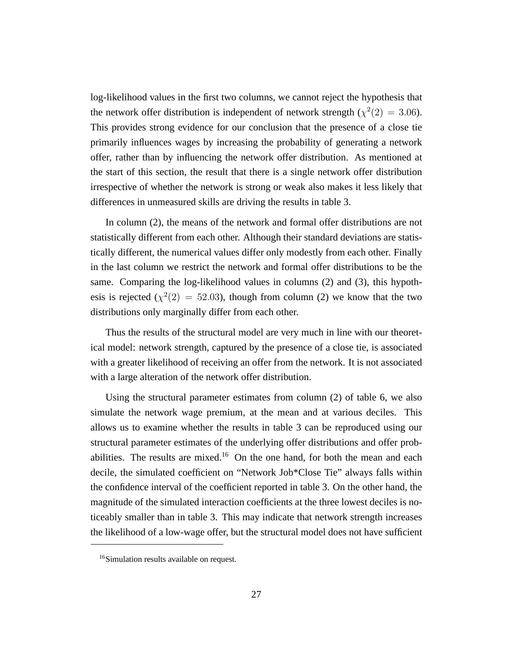log-likelihood values in the first two columns, we cannot reject the hypothesis that the network offer distribution is independent of network strength ( $\chi^2(2) = 3.06$ ). This provides strong evidence for our conclusion that the presence of a close tie primarily influences wages by increasing the probability of generating a network offer, rather than by influencing the network offer distribution. As mentioned at the start of this section, the result that there is a single network offer distribution irrespective of whether the network is strong or weak also makes it less likely that differences in unmeasured skills are driving the results in table 3.

In column (2), the means of the network and formal offer distributions are not statistically different from each other. Although their standard deviations are statistically different, the numerical values differ only modestly from each other. Finally in the last column we restrict the network and formal offer distributions to be the same. Comparing the log-likelihood values in columns (2) and (3), this hypothesis is rejected ( $\chi^2(2) = 52.03$ ), though from column (2) we know that the two distributions only marginally differ from each other.

Thus the results of the structural model are very much in line with our theoretical model: network strength, captured by the presence of a close tie, is associated with a greater likelihood of receiving an offer from the network. It is not associated with a large alteration of the network offer distribution.

Using the structural parameter estimates from column (2) of table 6, we also simulate the network wage premium, at the mean and at various deciles. This allows us to examine whether the results in table 3 can be reproduced using our structural parameter estimates of the underlying offer distributions and offer probabilities. The results are mixed.<sup>16</sup> On the one hand, for both the mean and each decile, the simulated coefficient on "Network Job\*Close Tie" always falls within the confidence interval of the coefficient reported in table 3. On the other hand, the magnitude of the simulated interaction coefficients at the three lowest deciles is noticeably smaller than in table 3. This may indicate that network strength increases the likelihood of a low-wage offer, but the structural model does not have sufficient

<sup>&</sup>lt;sup>16</sup>Simulation results available on request.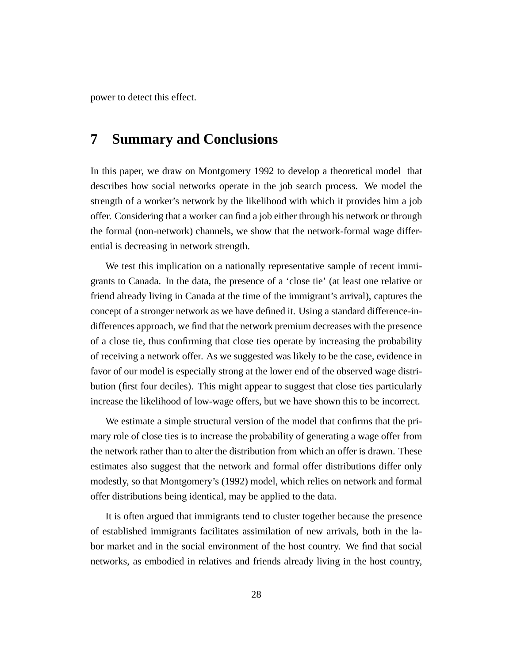power to detect this effect.

# **7 Summary and Conclusions**

In this paper, we draw on Montgomery 1992 to develop a theoretical model that describes how social networks operate in the job search process. We model the strength of a worker's network by the likelihood with which it provides him a job offer. Considering that a worker can find a job either through his network or through the formal (non-network) channels, we show that the network-formal wage differential is decreasing in network strength.

We test this implication on a nationally representative sample of recent immigrants to Canada. In the data, the presence of a 'close tie' (at least one relative or friend already living in Canada at the time of the immigrant's arrival), captures the concept of a stronger network as we have defined it. Using a standard difference-indifferences approach, we find that the network premium decreases with the presence of a close tie, thus confirming that close ties operate by increasing the probability of receiving a network offer. As we suggested was likely to be the case, evidence in favor of our model is especially strong at the lower end of the observed wage distribution (first four deciles). This might appear to suggest that close ties particularly increase the likelihood of low-wage offers, but we have shown this to be incorrect.

We estimate a simple structural version of the model that confirms that the primary role of close ties is to increase the probability of generating a wage offer from the network rather than to alter the distribution from which an offer is drawn. These estimates also suggest that the network and formal offer distributions differ only modestly, so that Montgomery's (1992) model, which relies on network and formal offer distributions being identical, may be applied to the data.

It is often argued that immigrants tend to cluster together because the presence of established immigrants facilitates assimilation of new arrivals, both in the labor market and in the social environment of the host country. We find that social networks, as embodied in relatives and friends already living in the host country,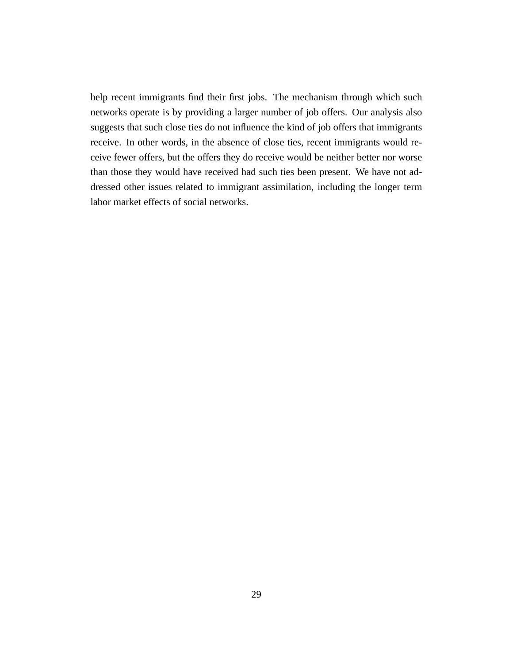help recent immigrants find their first jobs. The mechanism through which such networks operate is by providing a larger number of job offers. Our analysis also suggests that such close ties do not influence the kind of job offers that immigrants receive. In other words, in the absence of close ties, recent immigrants would receive fewer offers, but the offers they do receive would be neither better nor worse than those they would have received had such ties been present. We have not addressed other issues related to immigrant assimilation, including the longer term labor market effects of social networks.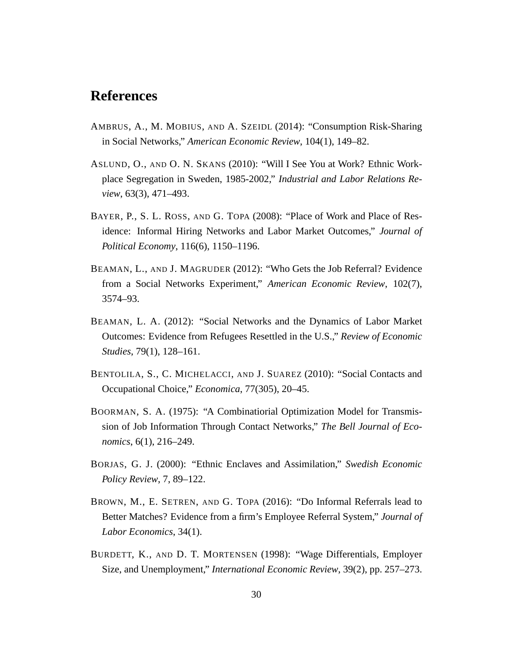# **References**

- AMBRUS, A., M. MOBIUS, AND A. SZEIDL (2014): "Consumption Risk-Sharing in Social Networks," *American Economic Review*, 104(1), 149–82.
- ASLUND, O., AND O. N. SKANS (2010): "Will I See You at Work? Ethnic Workplace Segregation in Sweden, 1985-2002," *Industrial and Labor Relations Review*, 63(3), 471–493.
- BAYER, P., S. L. ROSS, AND G. TOPA (2008): "Place of Work and Place of Residence: Informal Hiring Networks and Labor Market Outcomes," *Journal of Political Economy*, 116(6), 1150–1196.
- BEAMAN, L., AND J. MAGRUDER (2012): "Who Gets the Job Referral? Evidence from a Social Networks Experiment," *American Economic Review*, 102(7), 3574–93.
- BEAMAN, L. A. (2012): "Social Networks and the Dynamics of Labor Market Outcomes: Evidence from Refugees Resettled in the U.S.," *Review of Economic Studies*, 79(1), 128–161.
- BENTOLILA, S., C. MICHELACCI, AND J. SUAREZ (2010): "Social Contacts and Occupational Choice," *Economica*, 77(305), 20–45.
- BOORMAN, S. A. (1975): "A Combinatiorial Optimization Model for Transmission of Job Information Through Contact Networks," *The Bell Journal of Economics*, 6(1), 216–249.
- BORJAS, G. J. (2000): "Ethnic Enclaves and Assimilation," *Swedish Economic Policy Review*, 7, 89–122.
- BROWN, M., E. SETREN, AND G. TOPA (2016): "Do Informal Referrals lead to Better Matches? Evidence from a firm's Employee Referral System," *Journal of Labor Economics*, 34(1).
- BURDETT, K., AND D. T. MORTENSEN (1998): "Wage Differentials, Employer Size, and Unemployment," *International Economic Review*, 39(2), pp. 257–273.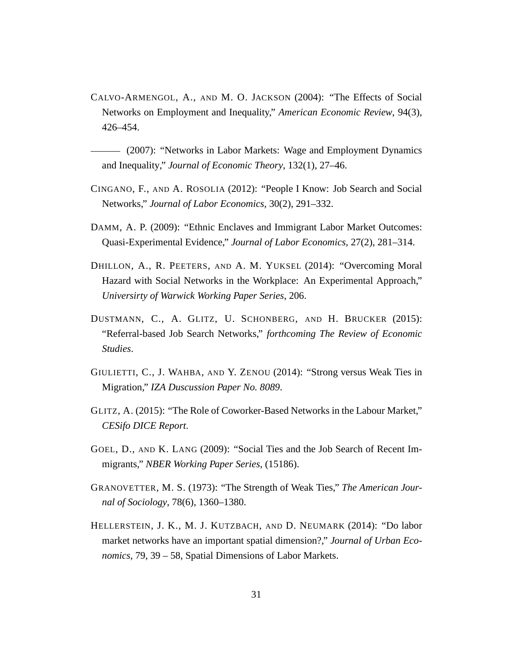CALVO-ARMENGOL, A., AND M. O. JACKSON (2004): "The Effects of Social Networks on Employment and Inequality," *American Economic Review*, 94(3), 426–454.

(2007): "Networks in Labor Markets: Wage and Employment Dynamics and Inequality," *Journal of Economic Theory*, 132(1), 27–46.

- CINGANO, F., AND A. ROSOLIA (2012): "People I Know: Job Search and Social Networks," *Journal of Labor Economics*, 30(2), 291–332.
- DAMM, A. P. (2009): "Ethnic Enclaves and Immigrant Labor Market Outcomes: Quasi-Experimental Evidence," *Journal of Labor Economics*, 27(2), 281–314.
- DHILLON, A., R. PEETERS, AND A. M. YUKSEL (2014): "Overcoming Moral Hazard with Social Networks in the Workplace: An Experimental Approach," *Universirty of Warwick Working Paper Series*, 206.
- DUSTMANN, C., A. GLITZ, U. SCHONBERG, AND H. BRUCKER (2015): "Referral-based Job Search Networks," *forthcoming The Review of Economic Studies*.
- GIULIETTI, C., J. WAHBA, AND Y. ZENOU (2014): "Strong versus Weak Ties in Migration," *IZA Duscussion Paper No. 8089*.
- GLITZ, A. (2015): "The Role of Coworker-Based Networks in the Labour Market," *CESifo DICE Report*.
- GOEL, D., AND K. LANG (2009): "Social Ties and the Job Search of Recent Immigrants," *NBER Working Paper Series*, (15186).
- GRANOVETTER, M. S. (1973): "The Strength of Weak Ties," *The American Journal of Sociology*, 78(6), 1360–1380.
- HELLERSTEIN, J. K., M. J. KUTZBACH, AND D. NEUMARK (2014): "Do labor market networks have an important spatial dimension?," *Journal of Urban Economics*, 79, 39 – 58, Spatial Dimensions of Labor Markets.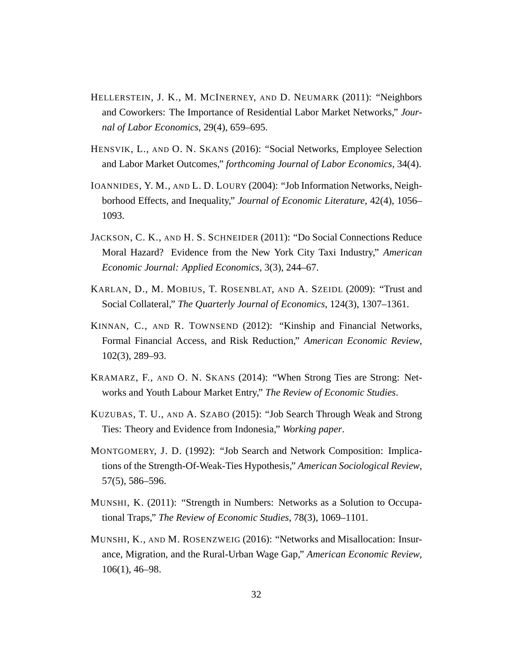- HELLERSTEIN, J. K., M. MCINERNEY, AND D. NEUMARK (2011): "Neighbors and Coworkers: The Importance of Residential Labor Market Networks," *Journal of Labor Economics*, 29(4), 659–695.
- HENSVIK, L., AND O. N. SKANS (2016): "Social Networks, Employee Selection and Labor Market Outcomes," *forthcoming Journal of Labor Economics*, 34(4).
- IOANNIDES, Y. M., AND L. D. LOURY (2004): "Job Information Networks, Neighborhood Effects, and Inequality," *Journal of Economic Literature*, 42(4), 1056– 1093.
- JACKSON, C. K., AND H. S. SCHNEIDER (2011): "Do Social Connections Reduce Moral Hazard? Evidence from the New York City Taxi Industry," *American Economic Journal: Applied Economics*, 3(3), 244–67.
- KARLAN, D., M. MOBIUS, T. ROSENBLAT, AND A. SZEIDL (2009): "Trust and Social Collateral," *The Quarterly Journal of Economics*, 124(3), 1307–1361.
- KINNAN, C., AND R. TOWNSEND (2012): "Kinship and Financial Networks, Formal Financial Access, and Risk Reduction," *American Economic Review*, 102(3), 289–93.
- KRAMARZ, F., AND O. N. SKANS (2014): "When Strong Ties are Strong: Networks and Youth Labour Market Entry," *The Review of Economic Studies*.
- KUZUBAS, T. U., AND A. SZABO (2015): "Job Search Through Weak and Strong Ties: Theory and Evidence from Indonesia," *Working paper*.
- MONTGOMERY, J. D. (1992): "Job Search and Network Composition: Implications of the Strength-Of-Weak-Ties Hypothesis," *American Sociological Review*, 57(5), 586–596.
- MUNSHI, K. (2011): "Strength in Numbers: Networks as a Solution to Occupational Traps," *The Review of Economic Studies*, 78(3), 1069–1101.
- MUNSHI, K., AND M. ROSENZWEIG (2016): "Networks and Misallocation: Insurance, Migration, and the Rural-Urban Wage Gap," *American Economic Review*, 106(1), 46–98.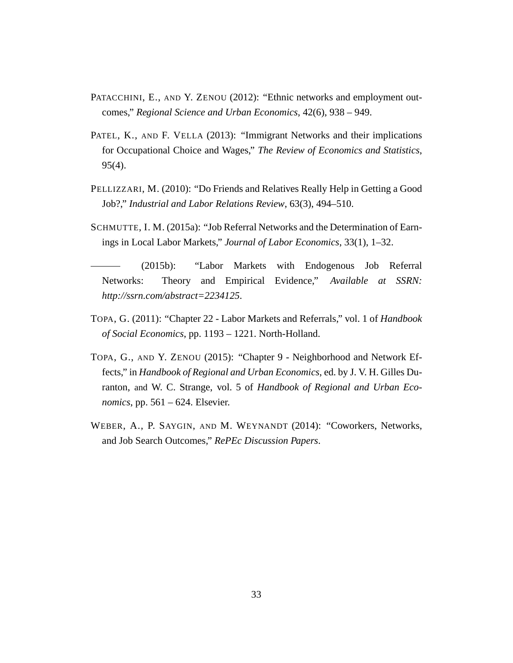- PATACCHINI, E., AND Y. ZENOU (2012): "Ethnic networks and employment outcomes," *Regional Science and Urban Economics*, 42(6), 938 – 949.
- PATEL, K., AND F. VELLA (2013): "Immigrant Networks and their implications for Occupational Choice and Wages," *The Review of Economics and Statistics*, 95(4).
- PELLIZZARI, M. (2010): "Do Friends and Relatives Really Help in Getting a Good Job?," *Industrial and Labor Relations Review*, 63(3), 494–510.
- SCHMUTTE, I. M. (2015a): "Job Referral Networks and the Determination of Earnings in Local Labor Markets," *Journal of Labor Economics*, 33(1), 1–32.
- (2015b): "Labor Markets with Endogenous Job Referral Networks: Theory and Empirical Evidence," *Available at SSRN: http://ssrn.com/abstract=2234125*.
- TOPA, G. (2011): "Chapter 22 Labor Markets and Referrals," vol. 1 of *Handbook of Social Economics*, pp. 1193 – 1221. North-Holland.
- TOPA, G., AND Y. ZENOU (2015): "Chapter 9 Neighborhood and Network Effects," in *Handbook of Regional and Urban Economics*, ed. by J. V. H. Gilles Duranton, and W. C. Strange, vol. 5 of *Handbook of Regional and Urban Economics*, pp. 561 – 624. Elsevier.
- WEBER, A., P. SAYGIN, AND M. WEYNANDT (2014): "Coworkers, Networks, and Job Search Outcomes," *RePEc Discussion Papers*.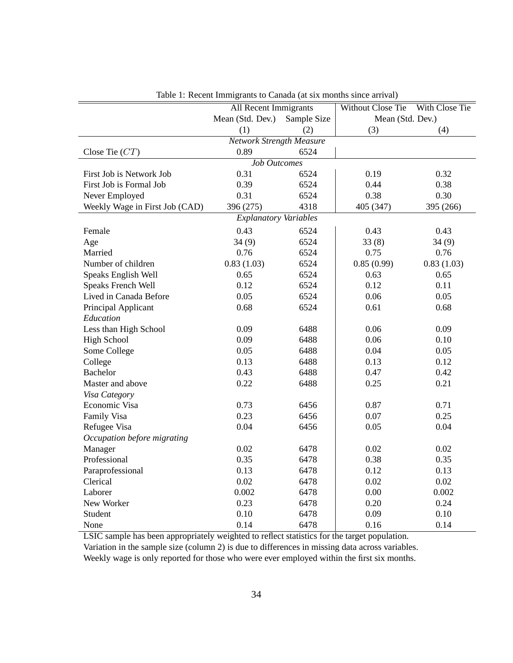|                                | All Recent Immigrants           |      | Without Close Tie | With Close Tie |
|--------------------------------|---------------------------------|------|-------------------|----------------|
|                                | Mean (Std. Dev.) Sample Size    |      | Mean (Std. Dev.)  |                |
|                                | (1)                             |      |                   | (4)            |
|                                | <b>Network Strength Measure</b> | (2)  | (3)               |                |
|                                | 0.89                            | 6524 |                   |                |
| Close Tie $CT$ )               |                                 |      |                   |                |
|                                | <b>Job Outcomes</b>             |      |                   |                |
| First Job is Network Job       | 0.31                            | 6524 | 0.19              | 0.32           |
| First Job is Formal Job        | 0.39                            | 6524 | 0.44              | 0.38           |
| Never Employed                 | 0.31                            | 6524 | 0.38              | 0.30           |
| Weekly Wage in First Job (CAD) | 396 (275)                       | 4318 | 405 (347)         | 395 (266)      |
|                                | <b>Explanatory Variables</b>    |      |                   |                |
| Female                         | 0.43                            | 6524 | 0.43              | 0.43           |
| Age                            | 34(9)                           | 6524 | 33(8)             | 34(9)          |
| Married                        | 0.76                            | 6524 | 0.75              | 0.76           |
| Number of children             | 0.83(1.03)                      | 6524 | 0.85(0.99)        | 0.83(1.03)     |
| Speaks English Well            | 0.65                            | 6524 | 0.63              | 0.65           |
| Speaks French Well             | 0.12                            | 6524 | 0.12              | 0.11           |
| Lived in Canada Before         | 0.05                            | 6524 | 0.06              | 0.05           |
| Principal Applicant            | 0.68                            | 6524 | 0.61              | 0.68           |
| Education                      |                                 |      |                   |                |
| Less than High School          | 0.09                            | 6488 | 0.06              | 0.09           |
| <b>High School</b>             | 0.09                            | 6488 | 0.06              | 0.10           |
| Some College                   | 0.05                            | 6488 | 0.04              | 0.05           |
| College                        | 0.13                            | 6488 | 0.13              | 0.12           |
| <b>Bachelor</b>                | 0.43                            | 6488 | 0.47              | 0.42           |
| Master and above               | 0.22                            | 6488 | 0.25              | 0.21           |
| Visa Category                  |                                 |      |                   |                |
| Economic Visa                  | 0.73                            | 6456 | 0.87              | 0.71           |
| Family Visa                    | 0.23                            | 6456 | 0.07              | 0.25           |
| Refugee Visa                   | 0.04                            | 6456 | 0.05              | 0.04           |
| Occupation before migrating    |                                 |      |                   |                |
| Manager                        | 0.02                            | 6478 | 0.02              | 0.02           |
| Professional                   | 0.35                            | 6478 | 0.38              | 0.35           |
| Paraprofessional               | 0.13                            | 6478 | 0.12              | 0.13           |
| Clerical                       | 0.02                            | 6478 | 0.02              | 0.02           |
| Laborer                        | 0.002                           | 6478 | 0.00              | 0.002          |
| New Worker                     | 0.23                            | 6478 | 0.20              | 0.24           |
| Student                        | 0.10                            | 6478 | 0.09              | 0.10           |
| None                           | 0.14                            | 6478 | 0.16              | 0.14           |

Table 1: Recent Immigrants to Canada (at six months since arrival)

LSIC sample has been appropriately weighted to reflect statistics for the target population.

Variation in the sample size (column 2) is due to differences in missing data across variables.

Weekly wage is only reported for those who were ever employed within the first six months.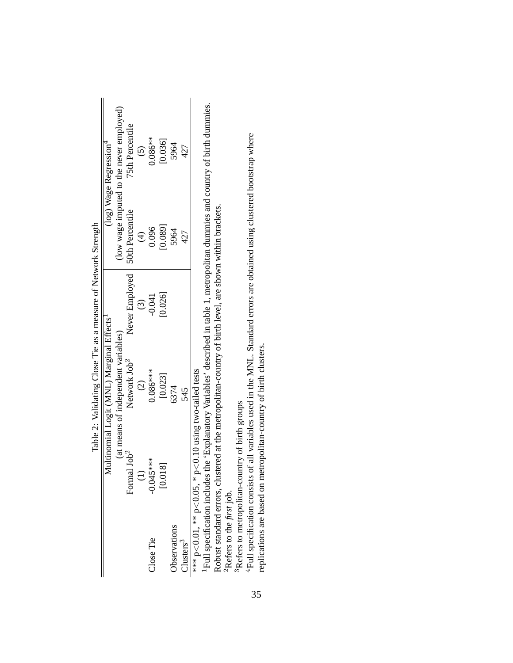|                                    |                           | inginaria windows and the contract windows and the contract of the contract of the contract of the contract of the contract of the contract of the contract of the contract of the contract of the contract of the contract of |                |                 |                                          |
|------------------------------------|---------------------------|--------------------------------------------------------------------------------------------------------------------------------------------------------------------------------------------------------------------------------|----------------|-----------------|------------------------------------------|
|                                    |                           | Multinomial Logit (MNL) Marginal Effects <sup>1</sup>                                                                                                                                                                          |                |                 | $(log)$ Wage Regression <sup>4</sup>     |
|                                    |                           | (at means of independent variables)                                                                                                                                                                                            |                |                 | (low wage imputed to the never employed) |
|                                    | Job <sup>2</sup><br>Forma | Network Job <sup>2</sup>                                                                                                                                                                                                       | Never Employed | 50th Percentile | 75th Percentile                          |
|                                    |                           | $\widehat{c}$                                                                                                                                                                                                                  | $\odot$        | $\widehat{E}$   | $\widehat{\odot}$                        |
| <b>Close Tie</b>                   | $-0.045***$               | $0.086***$                                                                                                                                                                                                                     | $-0.041$       | 0.096           | $0.086***$                               |
|                                    | [0.018]                   | [0.023]                                                                                                                                                                                                                        | [0.026]        | [0.089]         | [0.036]                                  |
| <b>b</b> servations                |                           | 6374                                                                                                                                                                                                                           |                | 5964            | 5964                                     |
| $\frac{3}{2}$ lusters <sup>3</sup> |                           | 545                                                                                                                                                                                                                            |                | 427             | 427                                      |
| ∗** ከ<∕ O O1 ** ከ<⁄ O O5 * ከ       |                           | $\leq 0$ 10 using two-tailed tests                                                                                                                                                                                             |                |                 |                                          |

Table 2: Validating Close Tie as a measure of Network Strength Table 2: Validating Close Tie as a measure of Network Strength

\*\*\*  $p < 0.01$ , \*\*  $p < 0.05$ , \*  $p < 0.10$  using two-tailed tests

 $\begin{array}{l}\n\text{where } p < 0.01, \text{ and } p < 0.05, \text{ and } p < 0.10 \text{ using two-tailed sets} \\
\text{1-1} & \text{1-1} & \text{1-1} & \text{1-1} & \text{1-1} & \text{1-1} \\
\text{1-1} & \text{1-1} & \text{1-1} & \text{1-1} & \text{1-1} & \text{1-1} \\
\text{1-1} & \text{1-1} & \text{1-1} & \text{1-1} & \text$ 1Full specification includes the 'Explanatory Variables' described in table 1, metropolitan dummies and country of birth dummies. Robust standard errors, clustered at the metropolitan-country of birth level, are shown within brackets. Robust standard errors, clustered at the metropolitan-country of birth level, are shown within brackets.

 ${}^{2}$ Refers to the *first* job. 2Refers to the *first* job.

<sup>3</sup>Refers to metropolitan-country of birth groups <sup>3</sup>Refers to metropolitan-country of birth groups

<sup>4</sup>Full specification consists of all variables used in the MNL. Standard errors are obtained using clustered bootstrap where 4Full specification consists of all variables used in the MNL. Standard errors are obtained using clustered bootstrap where replications are based on metropolitan-country of birth clusters. replications are based on metropolitan-country of birth clusters.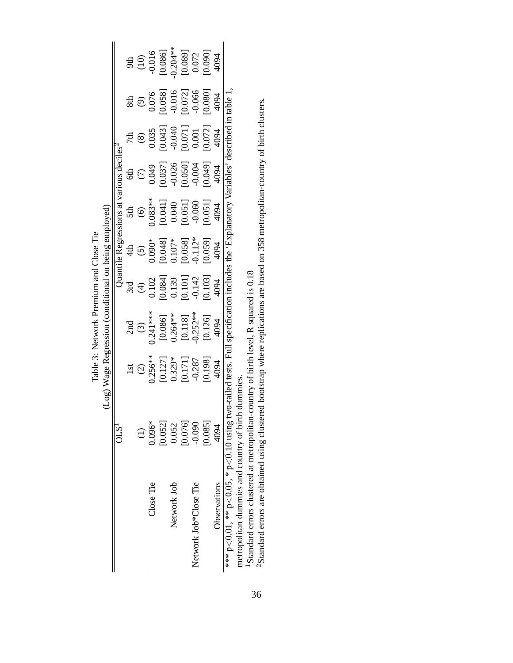(Log) Wage Regression (conditional on being employed) (Log) Wage Regression (conditional on being employed) Table 3: Network Premium and Close Tie Table 3: Network Premium and Close Tie

|                                          | OLS <sup>1</sup> |                                                                                                                                             |                                                                                              |                                                                                                                          |                                                                                                                                    |                                                                                                                                                             | arious deciles                                                                                                                                                                                                                                                                                                  |                                                                                                     |                                                                                                      |                                                                                         |
|------------------------------------------|------------------|---------------------------------------------------------------------------------------------------------------------------------------------|----------------------------------------------------------------------------------------------|--------------------------------------------------------------------------------------------------------------------------|------------------------------------------------------------------------------------------------------------------------------------|-------------------------------------------------------------------------------------------------------------------------------------------------------------|-----------------------------------------------------------------------------------------------------------------------------------------------------------------------------------------------------------------------------------------------------------------------------------------------------------------|-----------------------------------------------------------------------------------------------------|------------------------------------------------------------------------------------------------------|-----------------------------------------------------------------------------------------|
|                                          |                  |                                                                                                                                             | 2nd                                                                                          |                                                                                                                          |                                                                                                                                    | 5th                                                                                                                                                         |                                                                                                                                                                                                                                                                                                                 |                                                                                                     | 8th                                                                                                  |                                                                                         |
|                                          | $\oplus$         | $\widehat{c}$                                                                                                                               | $\frac{(3)}{0.241***}$                                                                       | $\bigoplus$                                                                                                              | $\frac{(5)}{0.090*}$<br>$\frac{1}{0.0481}$<br>$\frac{1}{0.0481}$<br>$\frac{1}{0.0591}$<br>$\frac{1}{0.0591}$<br>$\frac{1}{0.0591}$ | $\begin{array}{r} \begin{matrix} (6) \\ 0.083** \\ 0.0411 \\ 0.040 \\ 0.0511 \\ 0.0511 \\ 0.0511 \\ 0.0511 \\ 0.0511 \\ 0.0511 \\ \end{matrix} \end{array}$ | $rac{1}{2}$                                                                                                                                                                                                                                                                                                     | $\circledast$                                                                                       | $\frac{(9)}{0.076}$<br>$\frac{(0.076)}{0.058}$<br>$\frac{(0.076)}{0.016}$<br>$\frac{(0.072)}{0.066}$ | 9th<br>(10)<br>(10)<br>(10,006<br>(10,006)<br>(10,0094<br>(10,000)<br>(10,000)<br>(4094 |
| $\mathrm{Close}\ \mathrm{Tree}$          | $0.096*$         |                                                                                                                                             |                                                                                              |                                                                                                                          |                                                                                                                                    |                                                                                                                                                             |                                                                                                                                                                                                                                                                                                                 |                                                                                                     |                                                                                                      |                                                                                         |
|                                          | 0.052]           | $\frac{1}{0.256**}$<br>$\begin{bmatrix} 0.127 \\ 0.329^* \\ 0.171 \end{bmatrix}$<br>$\begin{bmatrix} 0.171 \\ -0.287 \\ 0.98 \end{bmatrix}$ | $\begin{array}{l} 0.086\\ 0.264**\\ 0.118\\ 0.0118\\ 0.0252**\\ 0.126\\ 0.126\\ \end{array}$ | $\begin{array}{r} \hline 0.102 \\ 0.084] \\ 0.139 \\ 0.101] \\ 0.101] \\ 0.142 \\ 0.133 \\ 0.103] \\ \hline \end{array}$ |                                                                                                                                    |                                                                                                                                                             | $\begin{array}{ l} \hline 0.049 \\[-4pt] 0.037] \\[-4pt] 0.026 \\[-4pt] 0.050] \\[-4pt] 0.049] \\[-4pt] 0.049] \\[-4pt] 0.049] \\[-4pt] 0.049] \\[-4pt] 0.049] \\[-4pt] 0.049] \\[-4pt] 0.049] \\[-4pt] 0.049] \\[-4pt] 0.049] \\[-4pt] 0.049] \\[-4pt] 0.049] \\[-4pt] 0.049] \\[-4pt] 0.049] \\[-4pt] 0.049]$ | $\begin{array}{r} 0.035 \\ 0.043 \\ -0.040 \\ 0.071 \\ 0.001 \\ 0.001 \\ 0.002 \\ 4094 \end{array}$ |                                                                                                      |                                                                                         |
| Network Job                              | 0.052            |                                                                                                                                             |                                                                                              |                                                                                                                          |                                                                                                                                    |                                                                                                                                                             |                                                                                                                                                                                                                                                                                                                 |                                                                                                     |                                                                                                      |                                                                                         |
|                                          | [0.076]          |                                                                                                                                             |                                                                                              |                                                                                                                          |                                                                                                                                    |                                                                                                                                                             |                                                                                                                                                                                                                                                                                                                 |                                                                                                     |                                                                                                      |                                                                                         |
| Network Job*Close Tie                    | 0.090            |                                                                                                                                             |                                                                                              |                                                                                                                          |                                                                                                                                    |                                                                                                                                                             |                                                                                                                                                                                                                                                                                                                 |                                                                                                     |                                                                                                      |                                                                                         |
|                                          | [0.085]          |                                                                                                                                             |                                                                                              |                                                                                                                          |                                                                                                                                    |                                                                                                                                                             |                                                                                                                                                                                                                                                                                                                 |                                                                                                     |                                                                                                      |                                                                                         |
| Observations                             | 4094             |                                                                                                                                             |                                                                                              |                                                                                                                          |                                                                                                                                    |                                                                                                                                                             |                                                                                                                                                                                                                                                                                                                 |                                                                                                     |                                                                                                      |                                                                                         |
| *** p<0.01, ** p<0.05, * p<0.10 using t  |                  | tests. Full                                                                                                                                 | specific.                                                                                    |                                                                                                                          | includes the 'Explanatory'                                                                                                         |                                                                                                                                                             | Variables                                                                                                                                                                                                                                                                                                       | escribed in table                                                                                   |                                                                                                      |                                                                                         |
| metropolitan dummies and country of birt |                  |                                                                                                                                             |                                                                                              |                                                                                                                          |                                                                                                                                    |                                                                                                                                                             |                                                                                                                                                                                                                                                                                                                 |                                                                                                     |                                                                                                      |                                                                                         |

metropolitan dummies and country of birth dummies.

1Standard errors clustered at metropolitan-country of birth level, R squared is 0.18

1 Standard errors clustered at metropolitan-country of birth level, R squared is 0.18<br><sup>1</sup> Standard errors clustered at metropolitan-country of birth level, R squared is 0.18<br><sup>2</sup> Standard errors are obtained using clustered <sup>2</sup>Standard errors are obtained using clustered bootstrap where replications are based on 358 metropolitan-country of birth clusters.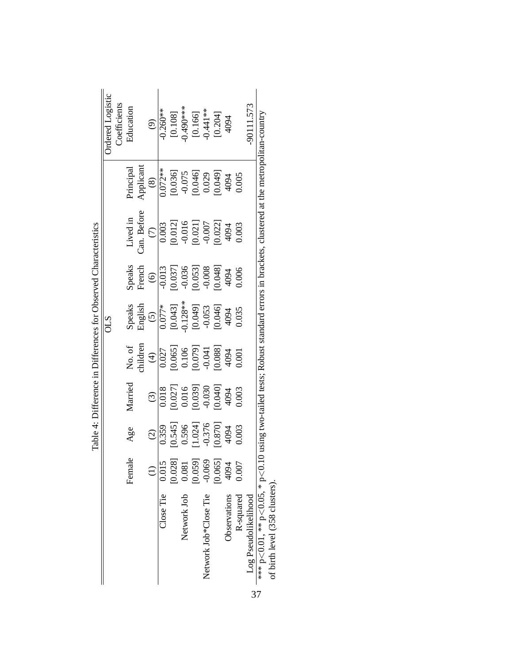|                                |                 |                                                             |                                                     |                                                                               | Table 4: Difference in Differences for Observed Characteristics                   |                                                                       |                                                                                                   |                                                                   |                                                                                               |
|--------------------------------|-----------------|-------------------------------------------------------------|-----------------------------------------------------|-------------------------------------------------------------------------------|-----------------------------------------------------------------------------------|-----------------------------------------------------------------------|---------------------------------------------------------------------------------------------------|-------------------------------------------------------------------|-----------------------------------------------------------------------------------------------|
|                                |                 |                                                             |                                                     |                                                                               | <b>OLS</b>                                                                        |                                                                       |                                                                                                   |                                                                   | Ordered Logistic                                                                              |
|                                |                 |                                                             |                                                     |                                                                               |                                                                                   |                                                                       |                                                                                                   |                                                                   | Coefficients                                                                                  |
|                                | Female          | Age                                                         | Married                                             | No. of                                                                        | Speaks                                                                            | Speaks                                                                | Lived in                                                                                          | hincipal                                                          | Education                                                                                     |
|                                |                 |                                                             |                                                     | children                                                                      | English                                                                           | French                                                                | Can. Before                                                                                       | Applicant                                                         |                                                                                               |
|                                | $\widehat{\Xi}$ | $\widehat{c}$                                               | $\odot$                                             | $\bigoplus$                                                                   | $\widetilde{S}$                                                                   | $\odot$                                                               | $\widehat{C}$                                                                                     | $\circledast$                                                     | $\odot$                                                                                       |
| $\Box$ ose $\mathrm{Tie}$      | 0.015           | 0.359                                                       | 0.018                                               |                                                                               | $0.077*$                                                                          | $-0.013$                                                              | 0.003                                                                                             | $0.072**$                                                         | $-0.260**$                                                                                    |
|                                | $0.028$ ]       |                                                             |                                                     |                                                                               |                                                                                   |                                                                       | [0.012]                                                                                           |                                                                   |                                                                                               |
| Network Job                    | 0.081           | $[0.545]$<br>0.596                                          |                                                     |                                                                               |                                                                                   |                                                                       |                                                                                                   |                                                                   | $[0.108]$<br>$0.490***$                                                                       |
|                                | [0.059]         |                                                             | $\begin{array}{c} [0.027]0.016 \ 0.016 \end{array}$ | $\begin{array}{c} 0.027 \\ 0.065] \\ 0.106 \\ 0.079] \\ 0.071 \\ \end{array}$ | $\begin{array}{c} [0.043] \\ -0.128** \\ [0.049] \\ -0.053 \\ \hline \end{array}$ | $\begin{array}{c} [0.037] \\ -0.036 \\ [0.053] \\ -0.008 \end{array}$ | $0.021$ ]<br>$-0.007$                                                                             | $\begin{bmatrix} 0.036 \\ -0.075 \\ 0.046 \\ 0.029 \end{bmatrix}$ |                                                                                               |
| Network Job*Close Tie          | $-0.069$        |                                                             | $-0.030$                                            |                                                                               |                                                                                   |                                                                       |                                                                                                   |                                                                   |                                                                                               |
|                                | [0.065]         | $\begin{array}{c} [1.024] \\ -0.376 \\ [0.870] \end{array}$ | [0.040]                                             | 4094                                                                          |                                                                                   | $0.048$ ]                                                             | [0.022]                                                                                           | [640.0]                                                           | $\begin{bmatrix} 0.166\\ -0.441**\\ \begin{bmatrix} 0.204\\ 4094 \end{bmatrix} \end{bmatrix}$ |
| Observations                   | 4094            | 4094                                                        | 4094                                                |                                                                               | 4094                                                                              | 4094                                                                  | 4094                                                                                              | 4094                                                              |                                                                                               |
| R-squared                      | 0.007           | 0.003                                                       | 0.003                                               | 1.001                                                                         | 0.035                                                                             | 0.006                                                                 | 0.003                                                                                             | 0.005                                                             |                                                                                               |
| Log Pseudolikelihood           |                 |                                                             |                                                     |                                                                               |                                                                                   |                                                                       |                                                                                                   |                                                                   | 90111.573                                                                                     |
| *** p<0.01, ** p<0.05, * p<0.1 |                 |                                                             |                                                     |                                                                               |                                                                                   |                                                                       | using two-tailed tests; Robust standard errors in brackets, clustered at the metropolitan-country |                                                                   |                                                                                               |
| of birth level (358 clusters). |                 |                                                             |                                                     |                                                                               |                                                                                   |                                                                       |                                                                                                   |                                                                   |                                                                                               |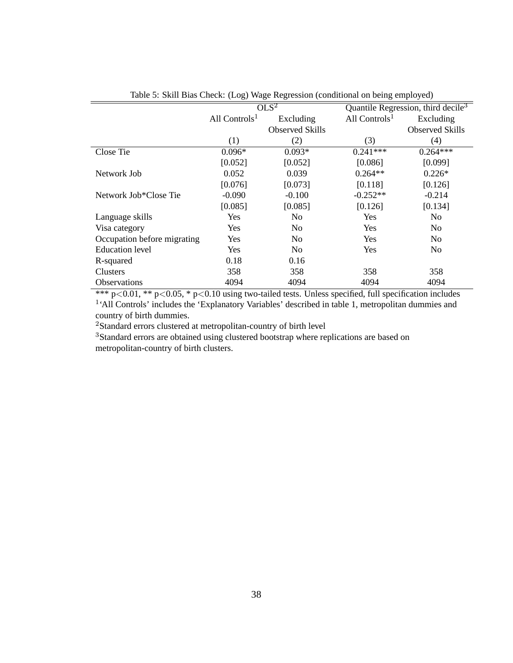|                             | $\frac{1}{2}$             |                        |                           |                                                |  |
|-----------------------------|---------------------------|------------------------|---------------------------|------------------------------------------------|--|
|                             |                           | OLS <sup>2</sup>       |                           | Quantile Regression, third decile <sup>3</sup> |  |
|                             | All Controls <sup>1</sup> | Excluding              | All Controls <sup>1</sup> | Excluding                                      |  |
|                             |                           | <b>Observed Skills</b> |                           | <b>Observed Skills</b>                         |  |
|                             | (1)                       | (2)                    | (3)                       | (4)                                            |  |
| Close Tie                   | $0.096*$                  | $0.093*$               | $0.241***$                | $0.264***$                                     |  |
|                             | [0.052]                   | [0.052]                | [0.086]                   | [0.099]                                        |  |
| Network Job                 | 0.052                     | 0.039                  | $0.264**$                 | $0.226*$                                       |  |
|                             | [0.076]                   | [0.073]                | [0.118]                   | [0.126]                                        |  |
| Network Job*Close Tie       | $-0.090$                  | $-0.100$               | $-0.252**$                | $-0.214$                                       |  |
|                             | [0.085]                   | [0.085]                | [0.126]                   | [0.134]                                        |  |
| Language skills             | Yes                       | N <sub>0</sub>         | <b>Yes</b>                | N <sub>0</sub>                                 |  |
| Visa category               | Yes                       | No                     | <b>Yes</b>                | N <sub>0</sub>                                 |  |
| Occupation before migrating | Yes                       | No                     | <b>Yes</b>                | No                                             |  |
| <b>Education</b> level      | Yes                       | N <sub>0</sub>         | <b>Yes</b>                | N <sub>0</sub>                                 |  |
| R-squared                   | 0.18                      | 0.16                   |                           |                                                |  |
| Clusters                    | 358                       | 358                    | 358                       | 358                                            |  |
| <b>Observations</b>         | 4094                      | 4094                   | 4094                      | 4094                                           |  |

#### Table 5: Skill Bias Check: (Log) Wage Regression (conditional on being employed)

\*\*\* p<0.01, \*\* p<0.05, \* p<0.10 using two-tailed tests. Unless specified, full specification includes <sup>1</sup>'All Controls' includes the 'Explanatory Variables' described in table 1, metropolitan dummies and country of birth dummies.

<sup>2</sup>Standard errors clustered at metropolitan-country of birth level

<sup>3</sup>Standard errors are obtained using clustered bootstrap where replications are based on metropolitan-country of birth clusters.